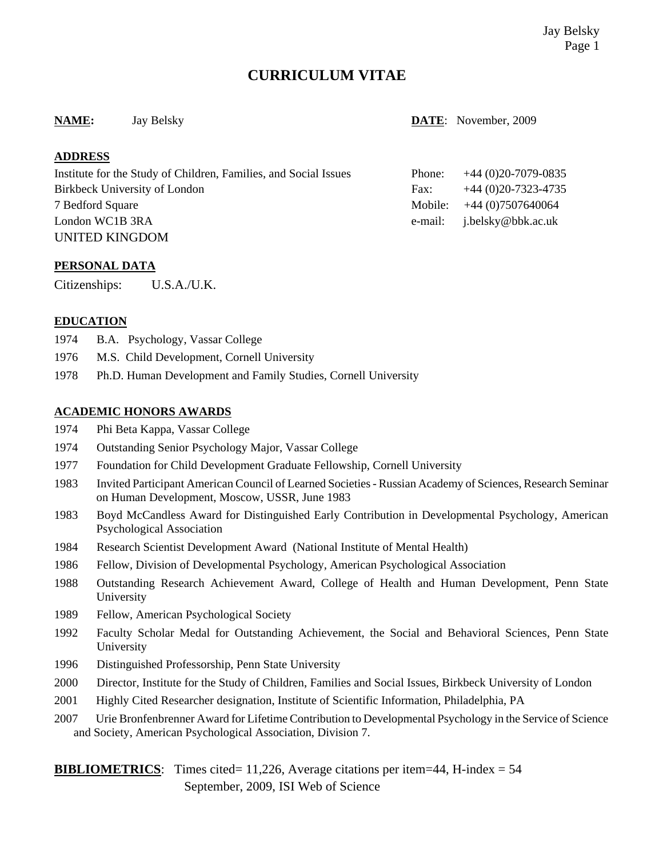# **CURRICULUM VITAE**

#### **NAME:** Jay Belsky **DATE**: November, 2009

## **ADDRESS**

| Institute for the Study of Children, Families, and Social Issues | Phone: | $+44(0)20-7079-0835$         |
|------------------------------------------------------------------|--------|------------------------------|
| Birkbeck University of London                                    | Fax:   | $+44(0)20-7323-4735$         |
| 7 Bedford Square                                                 |        | Mobile: $+44(0)7507640064$   |
| London WC1B 3RA                                                  |        | e-mail: $i.belsky@bbk.ac.uk$ |
| <b>UNITED KINGDOM</b>                                            |        |                              |

#### **PERSONAL DATA**

Citizenships: U.S.A./U.K.

#### **EDUCATION**

- 1974 B.A. Psychology, Vassar College
- 1976 M.S. Child Development, Cornell University
- 1978 Ph.D. Human Development and Family Studies, Cornell University

#### **ACADEMIC HONORS AWARDS**

- 1974 Phi Beta Kappa, Vassar College
- 1974 Outstanding Senior Psychology Major, Vassar College
- 1977 Foundation for Child Development Graduate Fellowship, Cornell University
- 1983 Invited Participant American Council of Learned Societies Russian Academy of Sciences, Research Seminar on Human Development, Moscow, USSR, June 1983
- 1983 Boyd McCandless Award for Distinguished Early Contribution in Developmental Psychology, American Psychological Association
- 1984 Research Scientist Development Award (National Institute of Mental Health)
- 1986 Fellow, Division of Developmental Psychology, American Psychological Association
- 1988 Outstanding Research Achievement Award, College of Health and Human Development, Penn State University
- 1989 Fellow, American Psychological Society
- 1992 Faculty Scholar Medal for Outstanding Achievement, the Social and Behavioral Sciences, Penn State University
- 1996 Distinguished Professorship, Penn State University
- 2000 Director, Institute for the Study of Children, Families and Social Issues, Birkbeck University of London
- 2001 Highly Cited Researcher designation, Institute of Scientific Information, Philadelphia, PA
- 2007 Urie Bronfenbrenner Award for Lifetime Contribution to Developmental Psychology in the Service of Science and Society, American Psychological Association, Division 7.

**BIBLIOMETRICS:** Times cited= 11,226, Average citations per item=44, H-index =  $54$ 

September, 2009, ISI Web of Science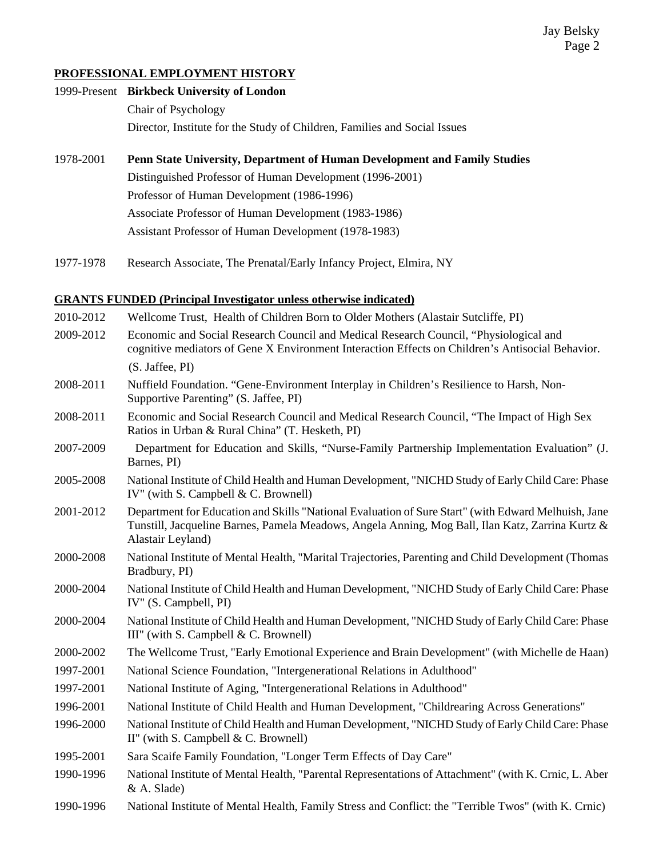#### **PROFESSIONAL EMPLOYMENT HISTORY**

| 1999-Present Birkbeck University of London                                |  |
|---------------------------------------------------------------------------|--|
| Chair of Psychology                                                       |  |
| Director, Institute for the Study of Children, Families and Social Issues |  |

- 1978-2001 **Penn State University, Department of Human Development and Family Studies** Distinguished Professor of Human Development (1996-2001) Professor of Human Development (1986-1996) Associate Professor of Human Development (1983-1986) Assistant Professor of Human Development (1978-1983)
- 1977-1978 Research Associate, The Prenatal/Early Infancy Project, Elmira, NY

#### **GRANTS FUNDED (Principal Investigator unless otherwise indicated)**

| 2010-2012 | Wellcome Trust, Health of Children Born to Older Mothers (Alastair Sutcliffe, PI)                                                                                                                                            |
|-----------|------------------------------------------------------------------------------------------------------------------------------------------------------------------------------------------------------------------------------|
| 2009-2012 | Economic and Social Research Council and Medical Research Council, "Physiological and<br>cognitive mediators of Gene X Environment Interaction Effects on Children's Antisocial Behavior.                                    |
|           | (S. Jaffee, PI)                                                                                                                                                                                                              |
| 2008-2011 | Nuffield Foundation. "Gene-Environment Interplay in Children's Resilience to Harsh, Non-<br>Supportive Parenting" (S. Jaffee, PI)                                                                                            |
| 2008-2011 | Economic and Social Research Council and Medical Research Council, "The Impact of High Sex<br>Ratios in Urban & Rural China" (T. Hesketh, PI)                                                                                |
| 2007-2009 | Department for Education and Skills, "Nurse-Family Partnership Implementation Evaluation" (J.<br>Barnes, PI)                                                                                                                 |
| 2005-2008 | National Institute of Child Health and Human Development, "NICHD Study of Early Child Care: Phase<br>IV" (with S. Campbell & C. Brownell)                                                                                    |
| 2001-2012 | Department for Education and Skills "National Evaluation of Sure Start" (with Edward Melhuish, Jane<br>Tunstill, Jacqueline Barnes, Pamela Meadows, Angela Anning, Mog Ball, Ilan Katz, Zarrina Kurtz &<br>Alastair Leyland) |
| 2000-2008 | National Institute of Mental Health, "Marital Trajectories, Parenting and Child Development (Thomas<br>Bradbury, PI)                                                                                                         |
| 2000-2004 | National Institute of Child Health and Human Development, "NICHD Study of Early Child Care: Phase<br>IV" (S. Campbell, PI)                                                                                                   |
| 2000-2004 | National Institute of Child Health and Human Development, "NICHD Study of Early Child Care: Phase<br>III" (with S. Campbell & C. Brownell)                                                                                   |
| 2000-2002 | The Wellcome Trust, "Early Emotional Experience and Brain Development" (with Michelle de Haan)                                                                                                                               |
| 1997-2001 | National Science Foundation, "Intergenerational Relations in Adulthood"                                                                                                                                                      |
| 1997-2001 | National Institute of Aging, "Intergenerational Relations in Adulthood"                                                                                                                                                      |
| 1996-2001 | National Institute of Child Health and Human Development, "Childrearing Across Generations"                                                                                                                                  |
| 1996-2000 | National Institute of Child Health and Human Development, "NICHD Study of Early Child Care: Phase<br>II" (with S. Campbell $& C.$ Brownell)                                                                                  |
| 1995-2001 | Sara Scaife Family Foundation, "Longer Term Effects of Day Care"                                                                                                                                                             |
| 1990-1996 | National Institute of Mental Health, "Parental Representations of Attachment" (with K. Crnic, L. Aber<br>& A. Slade)                                                                                                         |
| 1990-1996 | National Institute of Mental Health, Family Stress and Conflict: the "Terrible Twos" (with K. Crnic)                                                                                                                         |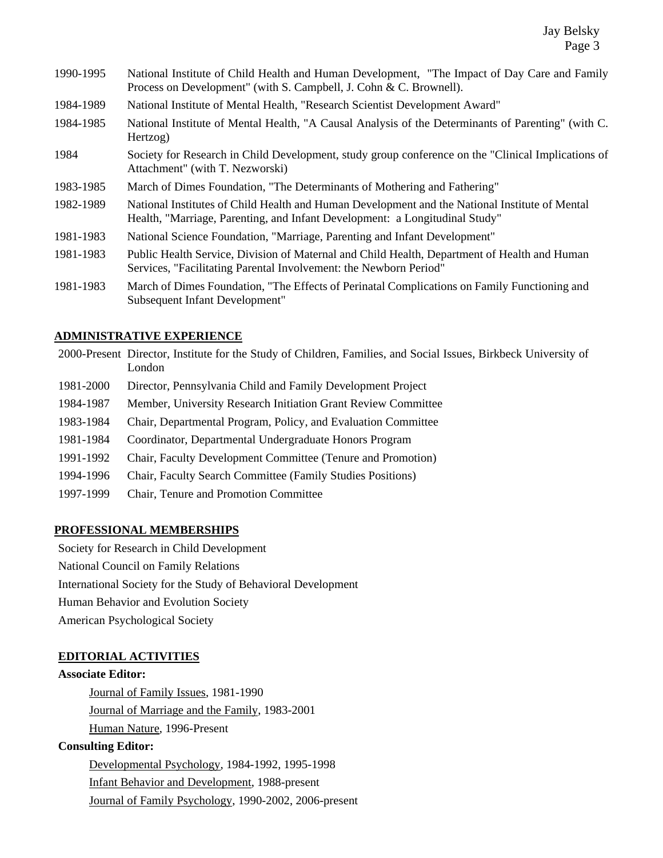- 1990-1995 National Institute of Child Health and Human Development, "The Impact of Day Care and Family Process on Development" (with S. Campbell, J. Cohn & C. Brownell).
- 1984-1989 National Institute of Mental Health, "Research Scientist Development Award"
- 1984-1985 National Institute of Mental Health, "A Causal Analysis of the Determinants of Parenting" (with C. Hertzog)
- 1984 Society for Research in Child Development, study group conference on the "Clinical Implications of Attachment" (with T. Nezworski)
- 1983-1985 March of Dimes Foundation, "The Determinants of Mothering and Fathering"
- 1982-1989 National Institutes of Child Health and Human Development and the National Institute of Mental Health, "Marriage, Parenting, and Infant Development: a Longitudinal Study"
- 1981-1983 National Science Foundation, "Marriage, Parenting and Infant Development"
- 1981-1983 Public Health Service, Division of Maternal and Child Health, Department of Health and Human Services, "Facilitating Parental Involvement: the Newborn Period"
- 1981-1983 March of Dimes Foundation, "The Effects of Perinatal Complications on Family Functioning and Subsequent Infant Development"

#### **ADMINISTRATIVE EXPERIENCE**

|           | 2000-Present Director, Institute for the Study of Children, Families, and Social Issues, Birkbeck University of<br>London |
|-----------|---------------------------------------------------------------------------------------------------------------------------|
| 1981-2000 | Director, Pennsylvania Child and Family Development Project                                                               |
| 1984-1987 | Member, University Research Initiation Grant Review Committee                                                             |
| 1983-1984 | Chair, Departmental Program, Policy, and Evaluation Committee                                                             |
| 1981-1984 | Coordinator, Departmental Undergraduate Honors Program                                                                    |
| 1991-1992 | Chair, Faculty Development Committee (Tenure and Promotion)                                                               |
| 1994-1996 | <b>Chair, Faculty Search Committee (Family Studies Positions)</b>                                                         |
| 1997-1999 | Chair, Tenure and Promotion Committee                                                                                     |

#### **PROFESSIONAL MEMBERSHIPS**

Society for Research in Child Development

National Council on Family Relations

International Society for the Study of Behavioral Development

Human Behavior and Evolution Society

American Psychological Society

### **EDITORIAL ACTIVITIES**

#### **Associate Editor:**

Journal of Family Issues, 1981-1990 Journal of Marriage and the Family, 1983-2001 Human Nature, 1996-Present

#### **Consulting Editor:**

Developmental Psychology, 1984-1992, 1995-1998 Infant Behavior and Development, 1988-present Journal of Family Psychology, 1990-2002, 2006-present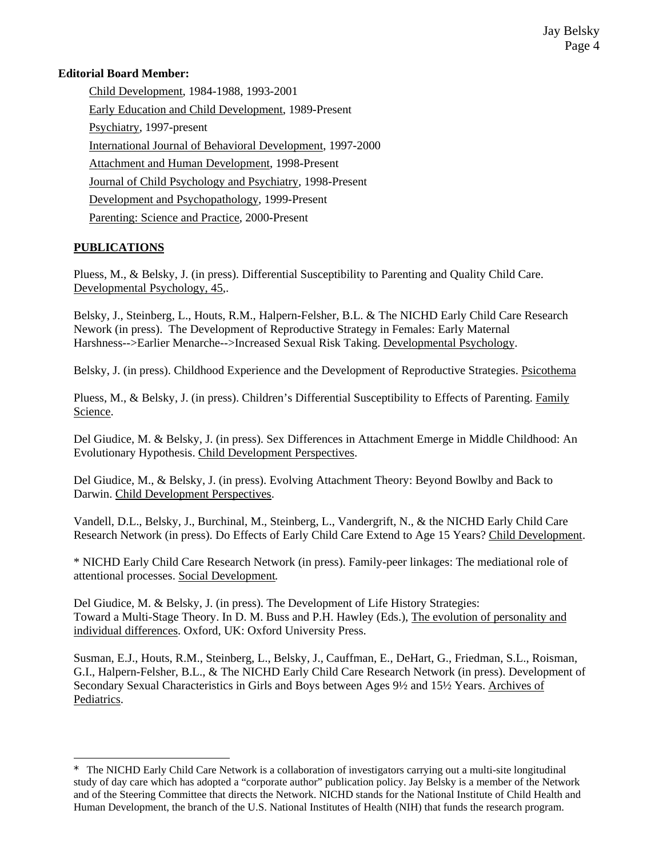### **Editorial Board Member:**

Child Development, 1984-1988, 1993-2001 Early Education and Child Development, 1989-Present Psychiatry, 1997-present International Journal of Behavioral Development, 1997-2000 Attachment and Human Development, 1998-Present Journal of Child Psychology and Psychiatry, 1998-Present Development and Psychopathology, 1999-Present Parenting: Science and Practice, 2000-Present

# **PUBLICATIONS**

÷,

Pluess, M., & Belsky, J. (in press). Differential Susceptibility to Parenting and Quality Child Care. Developmental Psychology, 45,.

Belsky, J., Steinberg, L., Houts, R.M., Halpern-Felsher, B.L. & The NICHD Early Child Care Research Nework (in press). The Development of Reproductive Strategy in Females: Early Maternal Harshness-->Earlier Menarche-->Increased Sexual Risk Taking. Developmental Psychology.

Belsky, J. (in press). Childhood Experience and the Development of Reproductive Strategies. Psicothema

Pluess, M., & Belsky, J. (in press). Children's Differential Susceptibility to Effects of Parenting. Family Science.

Del Giudice, M. & Belsky, J. (in press). Sex Differences in Attachment Emerge in Middle Childhood: An Evolutionary Hypothesis. Child Development Perspectives.

Del Giudice, M., & Belsky, J. (in press). Evolving Attachment Theory: Beyond Bowlby and Back to Darwin. Child Development Perspectives.

Vandell, D.L., Belsky, J., Burchinal, M., Steinberg, L., Vandergrift, N., & the NICHD Early Child Care Research Network (in press). Do Effects of Early Child Care Extend to Age 15 Years? Child Development.

\* NICHD Early Child Care Research Network (in press). Family-peer linkages: The mediational role of attentional processes. Social Development*.*

Del Giudice, M. & Belsky, J. (in press). The Development of Life History Strategies: Toward a Multi-Stage Theory. In D. M. Buss and P.H. Hawley (Eds.), The evolution of personality and individual differences. Oxford, UK: Oxford University Press.

Susman, E.J., Houts, R.M., Steinberg, L., Belsky, J., Cauffman, E., DeHart, G., Friedman, S.L., Roisman, G.I., Halpern-Felsher, B.L., & The NICHD Early Child Care Research Network (in press). Development of Secondary Sexual Characteristics in Girls and Boys between Ages 9½ and 15½ Years. Archives of Pediatrics.

<sup>\*</sup> The NICHD Early Child Care Network is a collaboration of investigators carrying out a multi-site longitudinal study of day care which has adopted a "corporate author" publication policy. Jay Belsky is a member of the Network and of the Steering Committee that directs the Network. NICHD stands for the National Institute of Child Health and Human Development, the branch of the U.S. National Institutes of Health (NIH) that funds the research program.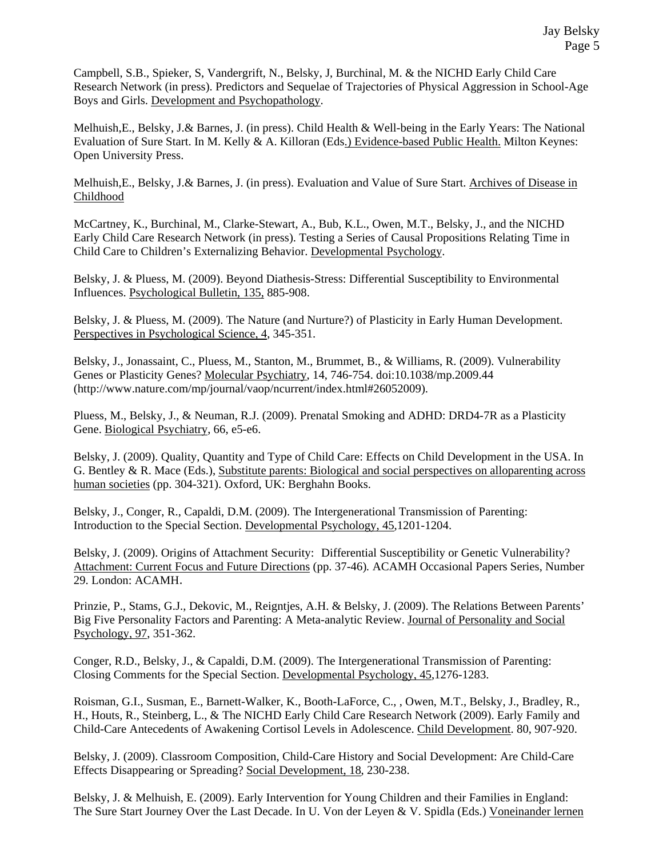Campbell, S.B., Spieker, S, Vandergrift, N., Belsky, J, Burchinal, M. & the NICHD Early Child Care Research Network (in press). Predictors and Sequelae of Trajectories of Physical Aggression in School-Age Boys and Girls. Development and Psychopathology.

Melhuish,E., Belsky, J.& Barnes, J. (in press). Child Health & Well-being in the Early Years: The National Evaluation of Sure Start. In M. Kelly & A. Killoran (Eds.) Evidence-based Public Health. Milton Keynes: Open University Press.

Melhuish,E., Belsky, J.& Barnes, J. (in press). Evaluation and Value of Sure Start. Archives of Disease in Childhood

McCartney, K., Burchinal, M., Clarke-Stewart, A., Bub, K.L., Owen, M.T., Belsky, J., and the NICHD Early Child Care Research Network (in press). Testing a Series of Causal Propositions Relating Time in Child Care to Children's Externalizing Behavior. Developmental Psychology.

Belsky, J. & Pluess, M. (2009). Beyond Diathesis-Stress: Differential Susceptibility to Environmental Influences. Psychological Bulletin, 135, 885-908.

Belsky, J. & Pluess, M. (2009). The Nature (and Nurture?) of Plasticity in Early Human Development. Perspectives in Psychological Science, 4, 345-351.

Belsky, J., Jonassaint, C., Pluess, M., Stanton, M., Brummet, B., & Williams, R. (2009). Vulnerability Genes or Plasticity Genes? Molecular Psychiatry, 14, 746-754. doi:10.1038/mp.2009.44 (http://www.nature.com/mp/journal/vaop/ncurrent/index.html#26052009).

Pluess, M., Belsky, J., & Neuman, R.J. (2009). Prenatal Smoking and ADHD: DRD4-7R as a Plasticity Gene. Biological Psychiatry, 66, e5-e6.

Belsky, J. (2009). Quality, Quantity and Type of Child Care: Effects on Child Development in the USA. In G. Bentley & R. Mace (Eds.), Substitute parents: Biological and social perspectives on alloparenting across human societies (pp. 304-321). Oxford, UK: Berghahn Books.

Belsky, J., Conger, R., Capaldi, D.M. (2009). The Intergenerational Transmission of Parenting: Introduction to the Special Section. Developmental Psychology, 45,1201-1204.

Belsky, J. (2009). Origins of Attachment Security: Differential Susceptibility or Genetic Vulnerability? Attachment: Current Focus and Future Directions (pp. 37-46)*.* ACAMH Occasional Papers Series, Number 29. London: ACAMH.

Prinzie, P., Stams, G.J., Dekovic, M., Reigntjes, A.H. & Belsky, J. (2009). The Relations Between Parents' Big Five Personality Factors and Parenting: A Meta-analytic Review. Journal of Personality and Social Psychology, 97, 351-362.

Conger, R.D., Belsky, J., & Capaldi, D.M. (2009). The Intergenerational Transmission of Parenting: Closing Comments for the Special Section. Developmental Psychology, 45,1276-1283.

Roisman, G.I., Susman, E., Barnett-Walker, K., Booth-LaForce, C., , Owen, M.T., Belsky, J., Bradley, R., H., Houts, R., Steinberg, L., & The NICHD Early Child Care Research Network (2009). Early Family and Child-Care Antecedents of Awakening Cortisol Levels in Adolescence. Child Development. 80, 907-920.

Belsky, J. (2009). Classroom Composition, Child-Care History and Social Development: Are Child-Care Effects Disappearing or Spreading? Social Development, 18, 230-238.

Belsky, J. & Melhuish, E. (2009). Early Intervention for Young Children and their Families in England: The Sure Start Journey Over the Last Decade. In U. Von der Leyen & V. Spidla (Eds.) Voneinander lernen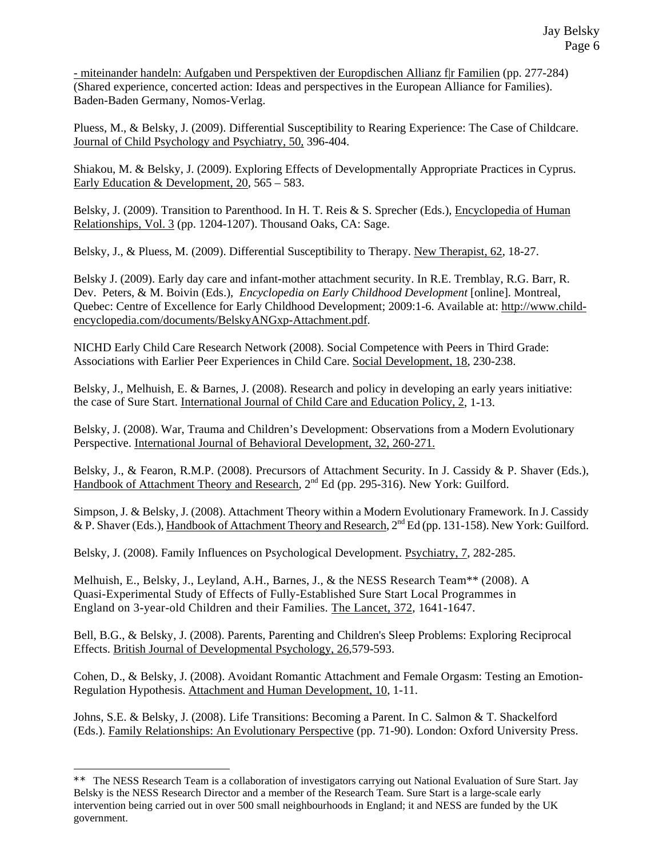- miteinander handeln: Aufgaben und Perspektiven der Europdischen Allianz f|r Familien (pp. 277-284) (Shared experience, concerted action: Ideas and perspectives in the European Alliance for Families). Baden-Baden Germany, Nomos-Verlag.

Pluess, M., & Belsky, J. (2009). Differential Susceptibility to Rearing Experience: The Case of Childcare. Journal of Child Psychology and Psychiatry, 50, 396-404.

Shiakou, M. & Belsky, J. (2009). Exploring Effects of Developmentally Appropriate Practices in Cyprus. Early Education & Development, 20, 565 – 583.

Belsky, J. (2009). Transition to Parenthood. In H. T. Reis & S. Sprecher (Eds.), Encyclopedia of Human Relationships, Vol. 3 (pp. 1204-1207). Thousand Oaks, CA: Sage.

Belsky, J., & Pluess, M. (2009). Differential Susceptibility to Therapy. New Therapist, 62, 18-27.

Belsky J. (2009). Early day care and infant-mother attachment security. In R.E. Tremblay, R.G. Barr, R. Dev. Peters, & M. Boivin (Eds.), *Encyclopedia on Early Childhood Development* [online]. Montreal, Quebec: Centre of Excellence for Early Childhood Development; 2009:1-6. Available at: http://www.childencyclopedia.com/documents/BelskyANGxp-Attachment.pdf.

NICHD Early Child Care Research Network (2008). Social Competence with Peers in Third Grade: Associations with Earlier Peer Experiences in Child Care. Social Development, 18, 230-238.

Belsky, J., Melhuish, E. & Barnes, J. (2008). Research and policy in developing an early years initiative: the case of Sure Start. International Journal of Child Care and Education Policy, 2, 1-13.

Belsky, J. (2008). War, Trauma and Children's Development: Observations from a Modern Evolutionary Perspective. International Journal of Behavioral Development, 32, 260-271.

Belsky, J., & Fearon, R.M.P. (2008). Precursors of Attachment Security. In J. Cassidy & P. Shaver (Eds.), Handbook of Attachment Theory and Research, 2<sup>nd</sup> Ed (pp. 295-316). New York: Guilford.

Simpson, J. & Belsky, J. (2008). Attachment Theory within a Modern Evolutionary Framework. In J. Cassidy & P. Shaver (Eds.), Handbook of Attachment Theory and Research, 2<sup>nd</sup> Ed (pp. 131-158). New York: Guilford.

Belsky, J. (2008). Family Influences on Psychological Development. Psychiatry, 7, 282-285.

Melhuish, E., Belsky, J., Leyland, A.H., Barnes, J., & the NESS Research Team\*\* (2008). A Quasi-Experimental Study of Effects of Fully-Established Sure Start Local Programmes in England on 3-year-old Children and their Families. The Lancet, 372, 1641-1647.

Bell, B.G., & Belsky, J. (2008). Parents, Parenting and Children's Sleep Problems: Exploring Reciprocal Effects. British Journal of Developmental Psychology, 26,579-593.

Cohen, D., & Belsky, J. (2008). Avoidant Romantic Attachment and Female Orgasm: Testing an Emotion-Regulation Hypothesis. Attachment and Human Development, 10, 1-11.

Johns, S.E. & Belsky, J. (2008). Life Transitions: Becoming a Parent. In C. Salmon & T. Shackelford (Eds.). Family Relationships: An Evolutionary Perspective (pp. 71-90). London: Oxford University Press.

÷,

<sup>\*\*</sup> The NESS Research Team is a collaboration of investigators carrying out National Evaluation of Sure Start. Jay Belsky is the NESS Research Director and a member of the Research Team. Sure Start is a large-scale early intervention being carried out in over 500 small neighbourhoods in England; it and NESS are funded by the UK government.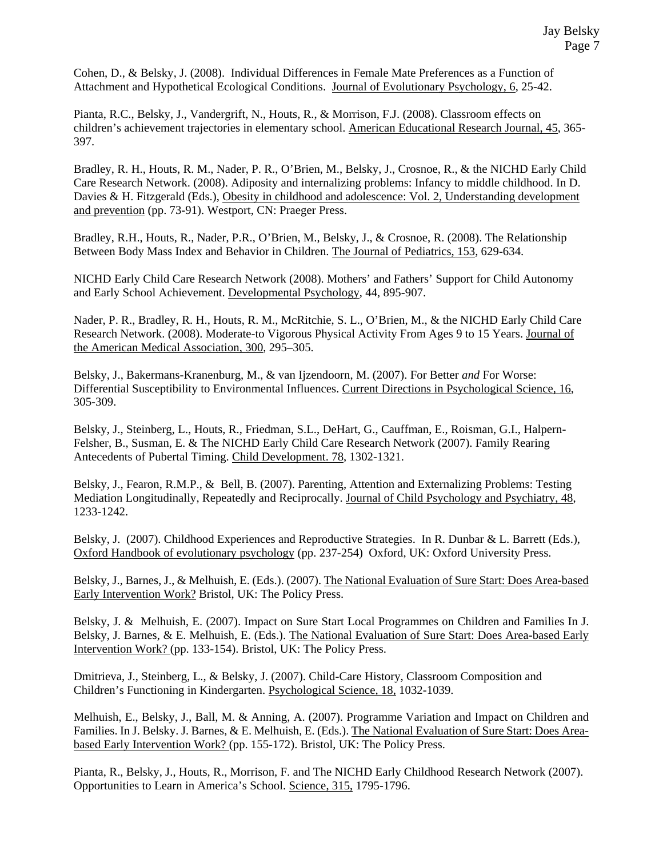Cohen, D., & Belsky, J. (2008). Individual Differences in Female Mate Preferences as a Function of Attachment and Hypothetical Ecological Conditions. Journal of Evolutionary Psychology, 6, 25-42.

Pianta, R.C., Belsky, J., Vandergrift, N., Houts, R., & Morrison, F.J. (2008). Classroom effects on children's achievement trajectories in elementary school. American Educational Research Journal, 45, 365- 397.

Bradley, R. H., Houts, R. M., Nader, P. R., O'Brien, M., Belsky, J., Crosnoe, R., & the NICHD Early Child Care Research Network. (2008). Adiposity and internalizing problems: Infancy to middle childhood. In D. Davies & H. Fitzgerald (Eds.), Obesity in childhood and adolescence: Vol. 2, Understanding development and prevention (pp. 73-91). Westport, CN: Praeger Press.

Bradley, R.H., Houts, R., Nader, P.R., O'Brien, M., Belsky, J., & Crosnoe, R. (2008). The Relationship Between Body Mass Index and Behavior in Children. The Journal of Pediatrics, 153, 629-634.

NICHD Early Child Care Research Network (2008). Mothers' and Fathers' Support for Child Autonomy and Early School Achievement. Developmental Psychology, 44, 895-907.

Nader, P. R., Bradley, R. H., Houts, R. M., McRitchie, S. L., O'Brien, M., & the NICHD Early Child Care Research Network. (2008). Moderate-to Vigorous Physical Activity From Ages 9 to 15 Years. Journal of the American Medical Association, 300, 295–305.

Belsky, J., Bakermans-Kranenburg, M., & van Ijzendoorn, M. (2007). For Better *and* For Worse: Differential Susceptibility to Environmental Influences. Current Directions in Psychological Science, 16, 305-309.

Belsky, J., Steinberg, L., Houts, R., Friedman, S.L., DeHart, G., Cauffman, E., Roisman, G.I., Halpern-Felsher, B., Susman, E. & The NICHD Early Child Care Research Network (2007). Family Rearing Antecedents of Pubertal Timing. Child Development. 78, 1302-1321.

Belsky, J., Fearon, R.M.P., & Bell, B. (2007). Parenting, Attention and Externalizing Problems: Testing Mediation Longitudinally, Repeatedly and Reciprocally. Journal of Child Psychology and Psychiatry, 48, 1233-1242.

Belsky, J. (2007). Childhood Experiences and Reproductive Strategies. In R. Dunbar & L. Barrett (Eds.), Oxford Handbook of evolutionary psychology (pp. 237-254) Oxford, UK: Oxford University Press.

Belsky, J., Barnes, J., & Melhuish, E. (Eds.). (2007). The National Evaluation of Sure Start: Does Area-based Early Intervention Work? Bristol, UK: The Policy Press.

Belsky, J. & Melhuish, E. (2007). Impact on Sure Start Local Programmes on Children and Families In J. Belsky, J. Barnes, & E. Melhuish, E. (Eds.). The National Evaluation of Sure Start: Does Area-based Early Intervention Work? (pp. 133-154). Bristol, UK: The Policy Press.

Dmitrieva, J., Steinberg, L., & Belsky, J. (2007). Child-Care History, Classroom Composition and Children's Functioning in Kindergarten. Psychological Science, 18, 1032-1039.

Melhuish, E., Belsky, J., Ball, M. & Anning, A. (2007). Programme Variation and Impact on Children and Families. In J. Belsky. J. Barnes, & E. Melhuish, E. (Eds.). The National Evaluation of Sure Start: Does Areabased Early Intervention Work? (pp. 155-172). Bristol, UK: The Policy Press.

Pianta, R., Belsky, J., Houts, R., Morrison, F. and The NICHD Early Childhood Research Network (2007). Opportunities to Learn in America's School. Science, 315, 1795-1796.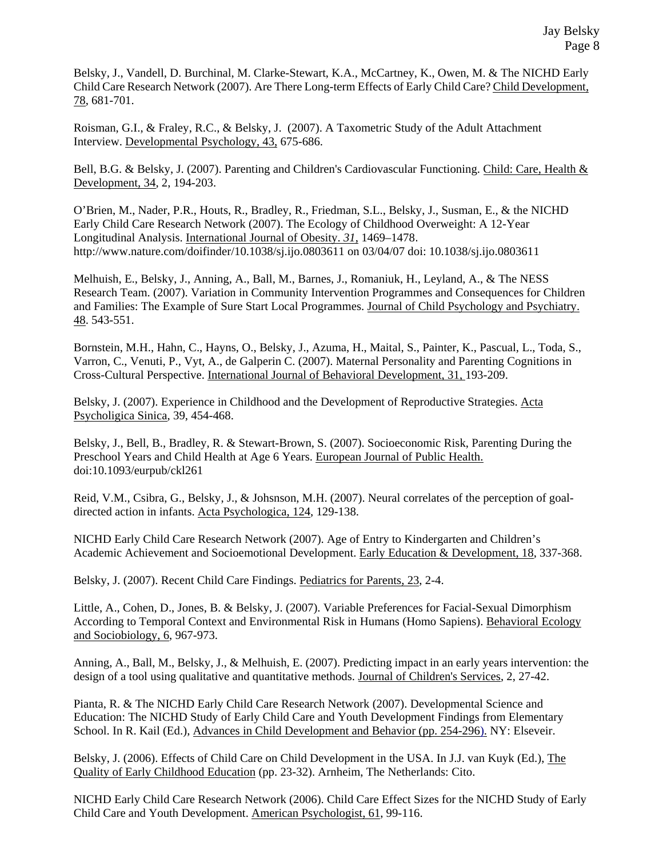Belsky, J., Vandell, D. Burchinal, M. Clarke-Stewart, K.A., McCartney, K., Owen, M. & The NICHD Early Child Care Research Network (2007). Are There Long-term Effects of Early Child Care? Child Development, 78, 681-701.

Roisman, G.I., & Fraley, R.C., & Belsky, J. (2007). A Taxometric Study of the Adult Attachment Interview. Developmental Psychology, 43, 675-686.

Bell, B.G. & Belsky, J. (2007). Parenting and Children's Cardiovascular Functioning. Child: Care, Health & Development, 34, 2, 194-203.

O'Brien, M., Nader, P.R., Houts, R., Bradley, R., Friedman, S.L., Belsky, J., Susman, E., & the NICHD Early Child Care Research Network (2007). The Ecology of Childhood Overweight: A 12-Year Longitudinal Analysis. International Journal of Obesity. *31*, 1469–1478. http://www.nature.com/doifinder/10.1038/sj.ijo.0803611 on 03/04/07 doi: 10.1038/sj.ijo.0803611

Melhuish, E., Belsky, J., Anning, A., Ball, M., Barnes, J., Romaniuk, H., Leyland, A., & The NESS Research Team. (2007). Variation in Community Intervention Programmes and Consequences for Children and Families: The Example of Sure Start Local Programmes. Journal of Child Psychology and Psychiatry. 48. 543-551.

Bornstein, M.H., Hahn, C., Hayns, O., Belsky, J., Azuma, H., Maital, S., Painter, K., Pascual, L., Toda, S., Varron, C., Venuti, P., Vyt, A., de Galperin C. (2007). Maternal Personality and Parenting Cognitions in Cross-Cultural Perspective. International Journal of Behavioral Development, 31, 193-209.

Belsky, J. (2007). Experience in Childhood and the Development of Reproductive Strategies. Acta Psycholigica Sinica, 39, 454-468.

Belsky, J., Bell, B., Bradley, R. & Stewart-Brown, S. (2007). Socioeconomic Risk, Parenting During the Preschool Years and Child Health at Age 6 Years. European Journal of Public Health. doi:10.1093/eurpub/ckl261

Reid, V.M., Csibra, G., Belsky, J., & Johsnson, M.H. (2007). Neural correlates of the perception of goaldirected action in infants. Acta Psychologica, 124, 129-138.

NICHD Early Child Care Research Network (2007). Age of Entry to Kindergarten and Children's Academic Achievement and Socioemotional Development. Early Education & Development, 18, 337-368.

Belsky, J. (2007). Recent Child Care Findings. Pediatrics for Parents, 23, 2-4.

Little, A., Cohen, D., Jones, B. & Belsky, J. (2007). Variable Preferences for Facial-Sexual Dimorphism According to Temporal Context and Environmental Risk in Humans (Homo Sapiens). Behavioral Ecology and Sociobiology, 6, 967-973.

Anning, A., Ball, M., Belsky, J., & Melhuish, E. (2007). Predicting impact in an early years intervention: the design of a tool using qualitative and quantitative methods. Journal of Children's Services, 2, 27-42.

Pianta, R. & The NICHD Early Child Care Research Network (2007). Developmental Science and Education: The NICHD Study of Early Child Care and Youth Development Findings from Elementary School. In R. Kail (Ed.), Advances in Child Development and Behavior (pp. 254-296). NY: Elseveir.

Belsky, J. (2006). Effects of Child Care on Child Development in the USA. In J.J. van Kuyk (Ed.), The Quality of Early Childhood Education (pp. 23-32). Arnheim, The Netherlands: Cito.

NICHD Early Child Care Research Network (2006). Child Care Effect Sizes for the NICHD Study of Early Child Care and Youth Development. American Psychologist, 61, 99-116.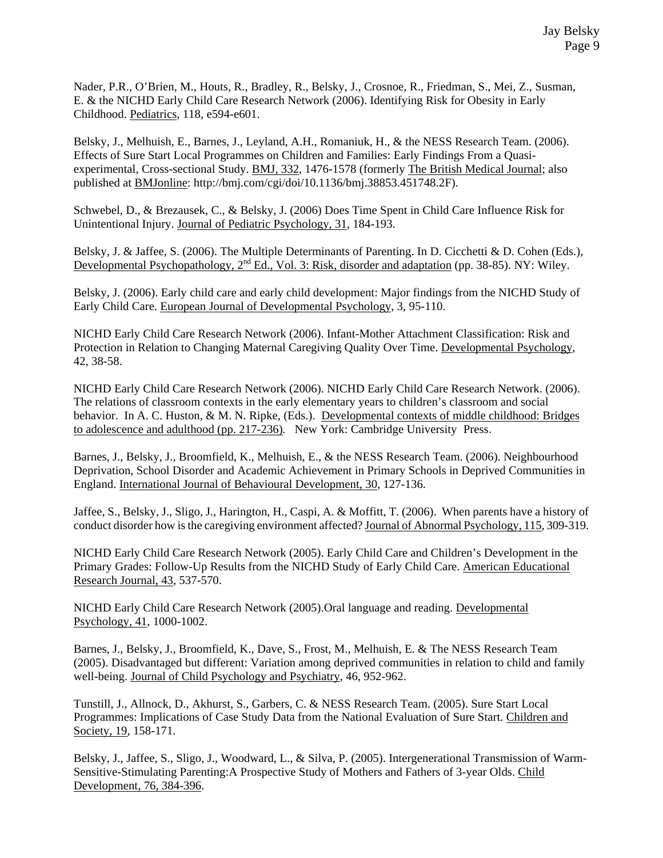Nader, P.R., O'Brien, M., Houts, R., Bradley, R., Belsky, J., Crosnoe, R., Friedman, S., Mei, Z., Susman, E. & the NICHD Early Child Care Research Network (2006). Identifying Risk for Obesity in Early Childhood. Pediatrics, 118, e594-e601.

Belsky, J., Melhuish, E., Barnes, J., Leyland, A.H., Romaniuk, H., & the NESS Research Team. (2006). Effects of Sure Start Local Programmes on Children and Families: Early Findings From a Quasiexperimental, Cross-sectional Study. BMJ, 332, 1476-1578 (formerly The British Medical Journal; also published at BMJonline: http://bmj.com/cgi/doi/10.1136/bmj.38853.451748.2F).

Schwebel, D., & Brezausek, C., & Belsky, J. (2006) Does Time Spent in Child Care Influence Risk for Unintentional Injury. Journal of Pediatric Psychology, 31, 184-193.

Belsky, J. & Jaffee, S. (2006). The Multiple Determinants of Parenting. In D. Cicchetti & D. Cohen (Eds.), Developmental Psychopathology, 2<sup>nd</sup> Ed., Vol. 3: Risk, disorder and adaptation (pp. 38-85). NY: Wiley.

Belsky, J. (2006). Early child care and early child development: Major findings from the NICHD Study of Early Child Care. European Journal of Developmental Psychology, 3, 95-110.

NICHD Early Child Care Research Network (2006). Infant-Mother Attachment Classification: Risk and Protection in Relation to Changing Maternal Caregiving Quality Over Time. Developmental Psychology, 42, 38-58.

NICHD Early Child Care Research Network (2006). NICHD Early Child Care Research Network. (2006). The relations of classroom contexts in the early elementary years to children's classroom and social behavior. In A. C. Huston, & M. N. Ripke, (Eds.). Developmental contexts of middle childhood: Bridges to adolescence and adulthood (pp. 217-236)*.* New York: Cambridge University Press.

Barnes, J., Belsky, J., Broomfield, K., Melhuish, E., & the NESS Research Team. (2006). Neighbourhood Deprivation, School Disorder and Academic Achievement in Primary Schools in Deprived Communities in England. International Journal of Behavioural Development, 30, 127-136.

Jaffee, S., Belsky, J., Sligo, J., Harington, H., Caspi, A. & Moffitt, T. (2006). When parents have a history of conduct disorder how is the caregiving environment affected? Journal of Abnormal Psychology, 115, 309-319.

NICHD Early Child Care Research Network (2005). Early Child Care and Children's Development in the Primary Grades: Follow-Up Results from the NICHD Study of Early Child Care. American Educational Research Journal, 43, 537-570.

NICHD Early Child Care Research Network (2005).Oral language and reading. Developmental Psychology, 41, 1000-1002.

Barnes, J., Belsky, J., Broomfield, K., Dave, S., Frost, M., Melhuish, E. & The NESS Research Team (2005). Disadvantaged but different: Variation among deprived communities in relation to child and family well-being. Journal of Child Psychology and Psychiatry, 46, 952-962.

Tunstill, J., Allnock, D., Akhurst, S., Garbers, C. & NESS Research Team. (2005). Sure Start Local Programmes: Implications of Case Study Data from the National Evaluation of Sure Start. Children and Society, 19, 158-171.

Belsky, J., Jaffee, S., Sligo, J., Woodward, L., & Silva, P. (2005). Intergenerational Transmission of Warm-Sensitive-Stimulating Parenting:A Prospective Study of Mothers and Fathers of 3-year Olds. Child Development, 76, 384-396.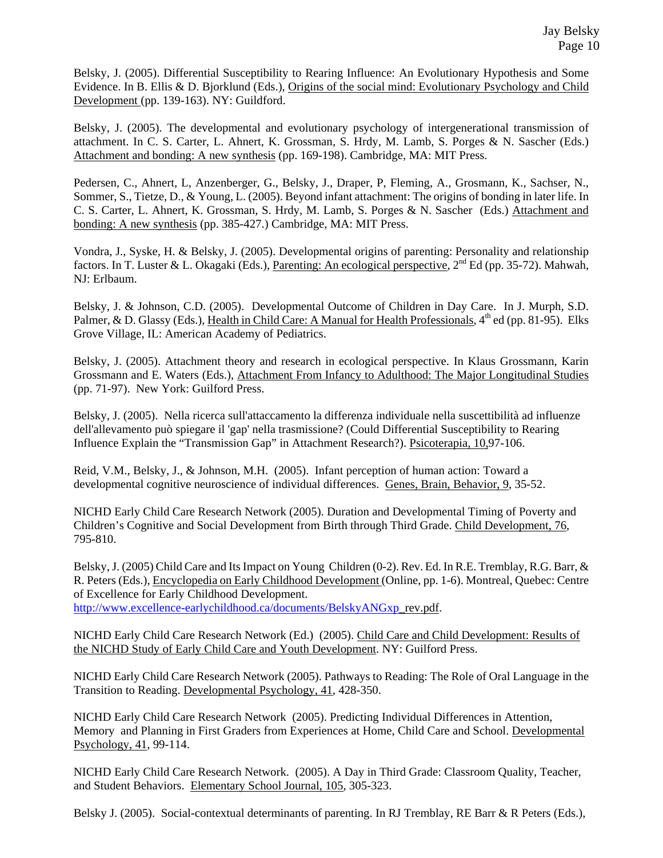Belsky, J. (2005). Differential Susceptibility to Rearing Influence: An Evolutionary Hypothesis and Some Evidence. In B. Ellis & D. Bjorklund (Eds.), Origins of the social mind: Evolutionary Psychology and Child Development (pp. 139-163). NY: Guildford.

Belsky, J. (2005). The developmental and evolutionary psychology of intergenerational transmission of attachment. In C. S. Carter, L. Ahnert, K. Grossman, S. Hrdy, M. Lamb, S. Porges & N. Sascher (Eds.) Attachment and bonding: A new synthesis (pp. 169-198). Cambridge, MA: MIT Press.

Pedersen, C., Ahnert, L, Anzenberger, G., Belsky, J., Draper, P, Fleming, A., Grosmann, K., Sachser, N., Sommer, S., Tietze, D., & Young, L. (2005). Beyond infant attachment: The origins of bonding in later life. In C. S. Carter, L. Ahnert, K. Grossman, S. Hrdy, M. Lamb, S. Porges & N. Sascher (Eds.) Attachment and bonding: A new synthesis (pp. 385-427.) Cambridge, MA: MIT Press.

Vondra, J., Syske, H. & Belsky, J. (2005). Developmental origins of parenting: Personality and relationship factors. In T. Luster & L. Okagaki (Eds.), Parenting: An ecological perspective, 2<sup>nd</sup> Ed (pp. 35-72). Mahwah, NJ: Erlbaum.

Belsky, J. & Johnson, C.D. (2005). Developmental Outcome of Children in Day Care. In J. Murph, S.D. Palmer, & D. Glassy (Eds.), Health in Child Care: A Manual for Health Professionals,  $4<sup>th</sup>$  ed (pp. 81-95). Elks Grove Village, IL: American Academy of Pediatrics.

Belsky, J. (2005). Attachment theory and research in ecological perspective. In Klaus Grossmann, Karin Grossmann and E. Waters (Eds.), Attachment From Infancy to Adulthood: The Major Longitudinal Studies (pp. 71-97). New York: Guilford Press.

Belsky, J. (2005). Nella ricerca sull'attaccamento la differenza individuale nella suscettibilità ad influenze dell'allevamento può spiegare il 'gap' nella trasmissione? (Could Differential Susceptibility to Rearing Influence Explain the "Transmission Gap" in Attachment Research?). Psicoterapia, 10,97-106.

Reid, V.M., Belsky, J., & Johnson, M.H. (2005). Infant perception of human action: Toward a developmental cognitive neuroscience of individual differences. Genes, Brain, Behavior, 9, 35-52.

NICHD Early Child Care Research Network (2005). Duration and Developmental Timing of Poverty and Children's Cognitive and Social Development from Birth through Third Grade. Child Development, 76, 795-810.

Belsky, J. (2005) Child Care and Its Impact on Young Children (0-2). Rev. Ed. In R.E. Tremblay, R.G. Barr, & R. Peters (Eds.), Encyclopedia on Early Childhood Development (Online, pp. 1-6). Montreal, Quebec: Centre of Excellence for Early Childhood Development.

http://www.excellence-earlychildhood.ca/documents/BelskyANGxp\_rev.pdf.

NICHD Early Child Care Research Network (Ed.) (2005). Child Care and Child Development: Results of the NICHD Study of Early Child Care and Youth Development. NY: Guilford Press.

NICHD Early Child Care Research Network (2005). Pathways to Reading: The Role of Oral Language in the Transition to Reading. Developmental Psychology, 41, 428-350.

NICHD Early Child Care Research Network (2005). Predicting Individual Differences in Attention, Memory and Planning in First Graders from Experiences at Home, Child Care and School. Developmental Psychology, 41, 99-114.

NICHD Early Child Care Research Network. (2005). A Day in Third Grade: Classroom Quality, Teacher, and Student Behaviors. Elementary School Journal, 105, 305-323.

Belsky J. (2005). Social-contextual determinants of parenting. In RJ Tremblay, RE Barr & R Peters (Eds.),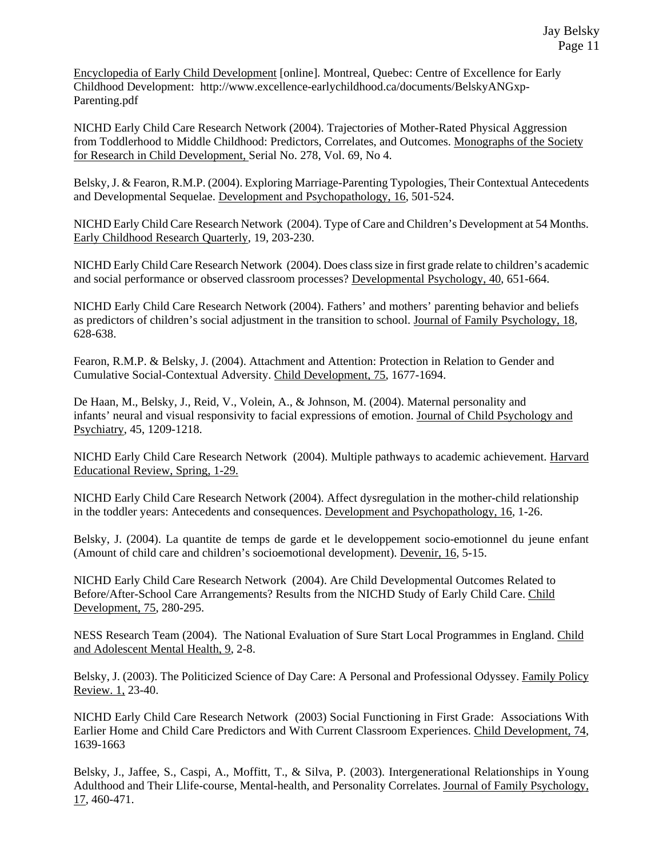Encyclopedia of Early Child Development [online]. Montreal, Quebec: Centre of Excellence for Early Childhood Development: http://www.excellence-earlychildhood.ca/documents/BelskyANGxp-Parenting.pdf

NICHD Early Child Care Research Network (2004). Trajectories of Mother-Rated Physical Aggression from Toddlerhood to Middle Childhood: Predictors, Correlates, and Outcomes. Monographs of the Society for Research in Child Development, Serial No. 278, Vol. 69, No 4.

Belsky, J. & Fearon, R.M.P. (2004). Exploring Marriage-Parenting Typologies, Their Contextual Antecedents and Developmental Sequelae. Development and Psychopathology, 16, 501-524.

NICHD Early Child Care Research Network (2004). Type of Care and Children's Development at 54 Months. Early Childhood Research Quarterly, 19, 203-230.

NICHD Early Child Care Research Network (2004). Does class size in first grade relate to children's academic and social performance or observed classroom processes? Developmental Psychology, 40, 651-664.

NICHD Early Child Care Research Network (2004). Fathers' and mothers' parenting behavior and beliefs as predictors of children's social adjustment in the transition to school. Journal of Family Psychology, 18, 628-638.

Fearon, R.M.P. & Belsky, J. (2004). Attachment and Attention: Protection in Relation to Gender and Cumulative Social-Contextual Adversity. Child Development, 75, 1677-1694.

De Haan, M., Belsky, J., Reid, V., Volein, A., & Johnson, M. (2004). Maternal personality and infants' neural and visual responsivity to facial expressions of emotion. Journal of Child Psychology and Psychiatry, 45, 1209-1218.

NICHD Early Child Care Research Network (2004). Multiple pathways to academic achievement. Harvard Educational Review, Spring, 1-29.

NICHD Early Child Care Research Network (2004). Affect dysregulation in the mother-child relationship in the toddler years: Antecedents and consequences. Development and Psychopathology, 16, 1-26.

Belsky, J. (2004). La quantite de temps de garde et le developpement socio-emotionnel du jeune enfant (Amount of child care and children's socioemotional development). Devenir, 16, 5-15.

NICHD Early Child Care Research Network (2004). Are Child Developmental Outcomes Related to Before/After-School Care Arrangements? Results from the NICHD Study of Early Child Care. Child Development, 75, 280-295.

NESS Research Team (2004). The National Evaluation of Sure Start Local Programmes in England. Child and Adolescent Mental Health, 9, 2-8.

Belsky, J. (2003). The Politicized Science of Day Care: A Personal and Professional Odyssey. Family Policy Review. 1, 23-40.

NICHD Early Child Care Research Network (2003) Social Functioning in First Grade: Associations With Earlier Home and Child Care Predictors and With Current Classroom Experiences. Child Development, 74, 1639-1663

Belsky, J., Jaffee, S., Caspi, A., Moffitt, T., & Silva, P. (2003). Intergenerational Relationships in Young Adulthood and Their Llife-course, Mental-health, and Personality Correlates. Journal of Family Psychology, 17, 460-471.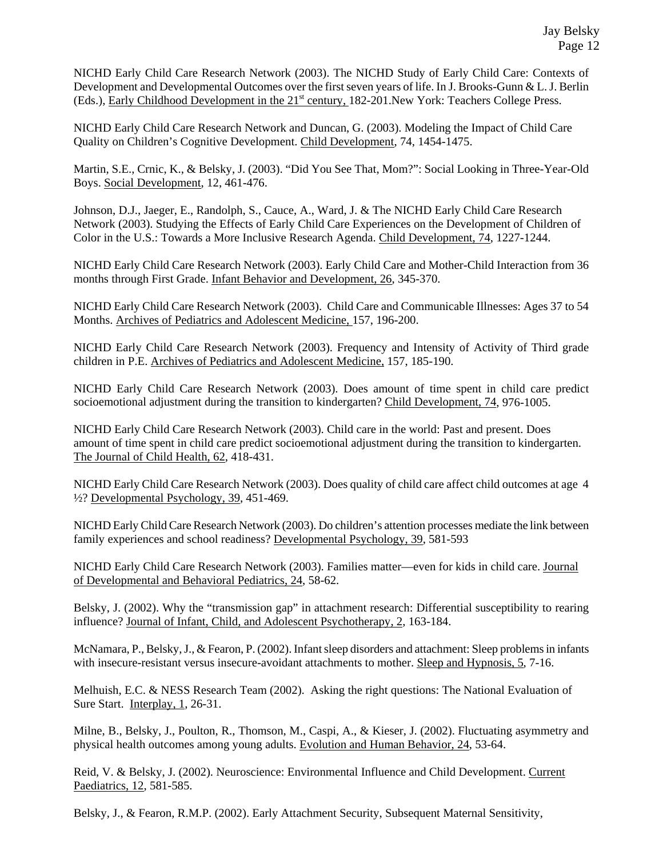NICHD Early Child Care Research Network (2003). The NICHD Study of Early Child Care: Contexts of Development and Developmental Outcomes over the first seven years of life. In J. Brooks-Gunn & L. J. Berlin (Eds.), Early Childhood Development in the 21<sup>st</sup> century, 182-201. New York: Teachers College Press.

NICHD Early Child Care Research Network and Duncan, G. (2003). Modeling the Impact of Child Care Quality on Children's Cognitive Development. Child Development, 74, 1454-1475.

Martin, S.E., Crnic, K., & Belsky, J. (2003). "Did You See That, Mom?": Social Looking in Three-Year-Old Boys. Social Development, 12, 461-476.

Johnson, D.J., Jaeger, E., Randolph, S., Cauce, A., Ward, J. & The NICHD Early Child Care Research Network (2003). Studying the Effects of Early Child Care Experiences on the Development of Children of Color in the U.S.: Towards a More Inclusive Research Agenda. Child Development, 74, 1227-1244.

NICHD Early Child Care Research Network (2003). Early Child Care and Mother-Child Interaction from 36 months through First Grade. Infant Behavior and Development, 26, 345-370.

NICHD Early Child Care Research Network (2003). Child Care and Communicable Illnesses: Ages 37 to 54 Months. Archives of Pediatrics and Adolescent Medicine, 157, 196-200.

NICHD Early Child Care Research Network (2003). Frequency and Intensity of Activity of Third grade children in P.E. Archives of Pediatrics and Adolescent Medicine, 157, 185-190.

NICHD Early Child Care Research Network (2003). Does amount of time spent in child care predict socioemotional adjustment during the transition to kindergarten? Child Development, 74, 976-1005.

NICHD Early Child Care Research Network (2003). Child care in the world: Past and present. Does amount of time spent in child care predict socioemotional adjustment during the transition to kindergarten. The Journal of Child Health, 62, 418-431.

NICHD Early Child Care Research Network (2003). Does quality of child care affect child outcomes at age 4 ½? Developmental Psychology, 39, 451-469.

NICHD Early Child Care Research Network (2003). Do children's attention processes mediate the link between family experiences and school readiness? Developmental Psychology, 39, 581-593

NICHD Early Child Care Research Network (2003). Families matter—even for kids in child care. Journal of Developmental and Behavioral Pediatrics, 24, 58-62.

Belsky, J. (2002). Why the "transmission gap" in attachment research: Differential susceptibility to rearing influence? Journal of Infant, Child, and Adolescent Psychotherapy, 2, 163-184.

McNamara, P., Belsky, J., & Fearon, P. (2002). Infant sleep disorders and attachment: Sleep problems in infants with insecure-resistant versus insecure-avoidant attachments to mother. Sleep and Hypnosis, 5, 7-16.

Melhuish, E.C. & NESS Research Team (2002). Asking the right questions: The National Evaluation of Sure Start. Interplay, 1, 26-31.

Milne, B., Belsky, J., Poulton, R., Thomson, M., Caspi, A., & Kieser, J. (2002). Fluctuating asymmetry and physical health outcomes among young adults. Evolution and Human Behavior, 24, 53-64.

Reid, V. & Belsky, J. (2002). Neuroscience: Environmental Influence and Child Development. Current Paediatrics, 12, 581-585.

Belsky, J., & Fearon, R.M.P. (2002). Early Attachment Security, Subsequent Maternal Sensitivity,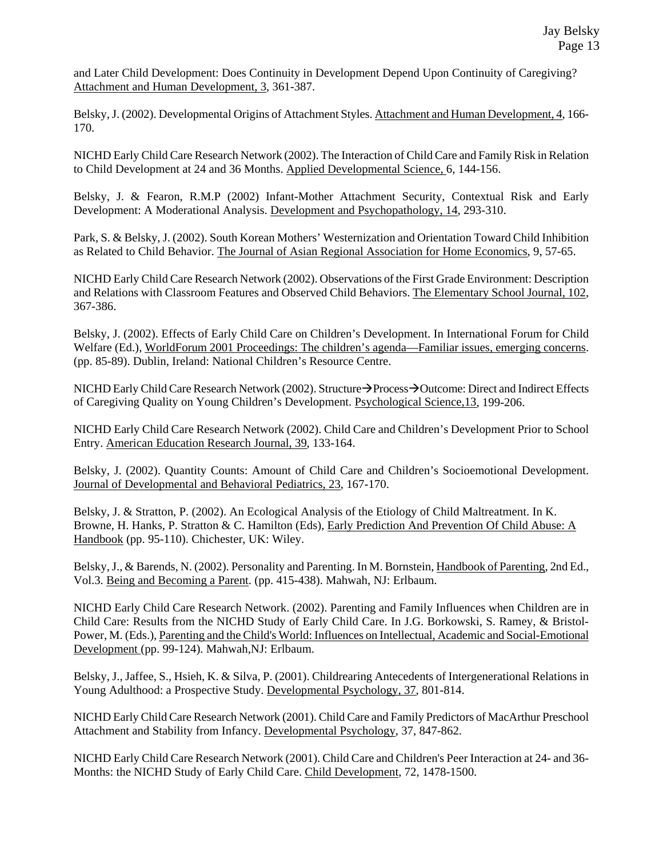and Later Child Development: Does Continuity in Development Depend Upon Continuity of Caregiving? Attachment and Human Development, 3, 361-387.

Belsky, J. (2002). Developmental Origins of Attachment Styles. Attachment and Human Development, 4, 166- 170.

NICHD Early Child Care Research Network (2002). The Interaction of Child Care and Family Risk in Relation to Child Development at 24 and 36 Months. Applied Developmental Science, 6, 144-156.

Belsky, J. & Fearon, R.M.P (2002) Infant-Mother Attachment Security, Contextual Risk and Early Development: A Moderational Analysis. Development and Psychopathology, 14, 293-310.

Park, S. & Belsky, J. (2002). South Korean Mothers' Westernization and Orientation Toward Child Inhibition as Related to Child Behavior. The Journal of Asian Regional Association for Home Economics, 9, 57-65.

NICHD Early Child Care Research Network (2002). Observations of the First Grade Environment: Description and Relations with Classroom Features and Observed Child Behaviors. The Elementary School Journal, 102, 367-386.

Belsky, J. (2002). Effects of Early Child Care on Children's Development. In International Forum for Child Welfare (Ed.), WorldForum 2001 Proceedings: The children's agenda—Familiar issues, emerging concerns. (pp. 85-89). Dublin, Ireland: National Children's Resource Centre.

NICHD Early Child Care Research Network (2002). Structure→Process→Outcome: Direct and Indirect Effects of Caregiving Quality on Young Children's Development. Psychological Science,13, 199-206.

NICHD Early Child Care Research Network (2002). Child Care and Children's Development Prior to School Entry. American Education Research Journal, 39, 133-164.

Belsky, J. (2002). Quantity Counts: Amount of Child Care and Children's Socioemotional Development. Journal of Developmental and Behavioral Pediatrics, 23, 167-170.

Belsky, J. & Stratton, P. (2002). An Ecological Analysis of the Etiology of Child Maltreatment. In K. Browne, H. Hanks, P. Stratton & C. Hamilton (Eds), Early Prediction And Prevention Of Child Abuse: A Handbook (pp. 95-110). Chichester, UK: Wiley.

Belsky, J., & Barends, N. (2002). Personality and Parenting. In M. Bornstein, Handbook of Parenting, 2nd Ed., Vol.3. Being and Becoming a Parent. (pp. 415-438). Mahwah, NJ: Erlbaum.

NICHD Early Child Care Research Network. (2002). Parenting and Family Influences when Children are in Child Care: Results from the NICHD Study of Early Child Care. In J.G. Borkowski, S. Ramey, & Bristol-Power, M. (Eds.), Parenting and the Child's World: Influences on Intellectual, Academic and Social-Emotional Development (pp. 99-124). Mahwah,NJ: Erlbaum.

Belsky, J., Jaffee, S., Hsieh, K. & Silva, P. (2001). Childrearing Antecedents of Intergenerational Relations in Young Adulthood: a Prospective Study. Developmental Psychology, 37, 801-814.

NICHD Early Child Care Research Network (2001). Child Care and Family Predictors of MacArthur Preschool Attachment and Stability from Infancy. Developmental Psychology, 37, 847-862.

NICHD Early Child Care Research Network (2001). Child Care and Children's Peer Interaction at 24- and 36- Months: the NICHD Study of Early Child Care. Child Development, 72, 1478-1500.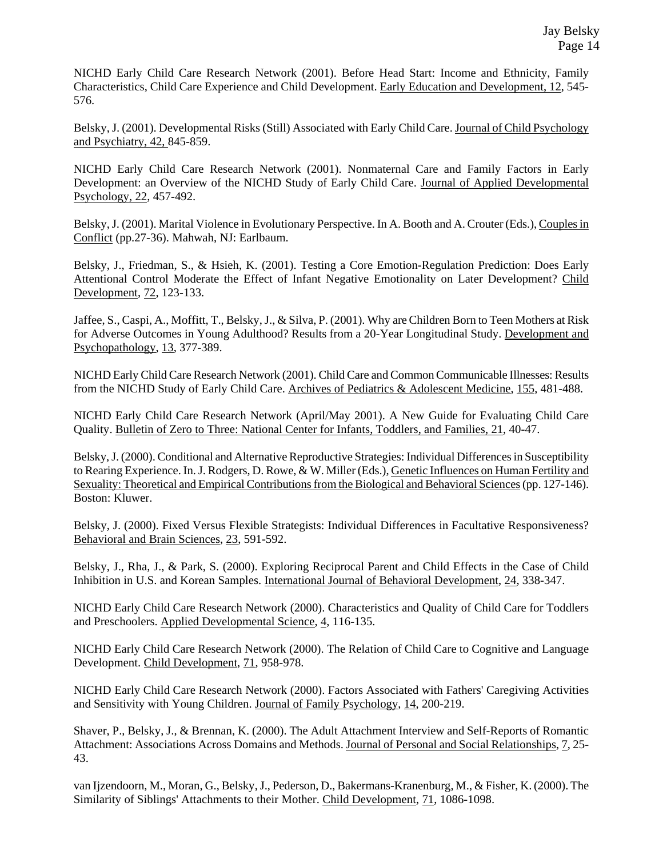NICHD Early Child Care Research Network (2001). Before Head Start: Income and Ethnicity, Family Characteristics, Child Care Experience and Child Development. Early Education and Development, 12, 545- 576.

Belsky, J. (2001). Developmental Risks (Still) Associated with Early Child Care. Journal of Child Psychology and Psychiatry, 42, 845-859.

NICHD Early Child Care Research Network (2001). Nonmaternal Care and Family Factors in Early Development: an Overview of the NICHD Study of Early Child Care. Journal of Applied Developmental Psychology, 22, 457-492.

Belsky, J. (2001). Marital Violence in Evolutionary Perspective. In A. Booth and A. Crouter (Eds.), Couples in Conflict (pp.27-36). Mahwah, NJ: Earlbaum.

Belsky, J., Friedman, S., & Hsieh, K. (2001). Testing a Core Emotion-Regulation Prediction: Does Early Attentional Control Moderate the Effect of Infant Negative Emotionality on Later Development? Child Development, 72, 123-133.

Jaffee, S., Caspi, A., Moffitt, T., Belsky, J., & Silva, P. (2001). Why are Children Born to Teen Mothers at Risk for Adverse Outcomes in Young Adulthood? Results from a 20-Year Longitudinal Study. Development and Psychopathology, 13, 377-389.

NICHD Early Child Care Research Network (2001). Child Care and Common Communicable Illnesses: Results from the NICHD Study of Early Child Care. Archives of Pediatrics & Adolescent Medicine, 155, 481-488.

NICHD Early Child Care Research Network (April/May 2001). A New Guide for Evaluating Child Care Quality. Bulletin of Zero to Three: National Center for Infants, Toddlers, and Families, 21, 40-47.

Belsky, J. (2000). Conditional and Alternative Reproductive Strategies: Individual Differences in Susceptibility to Rearing Experience. In. J. Rodgers, D. Rowe, & W. Miller (Eds.), Genetic Influences on Human Fertility and Sexuality: Theoretical and Empirical Contributions from the Biological and Behavioral Sciences (pp. 127-146). Boston: Kluwer.

Belsky, J. (2000). Fixed Versus Flexible Strategists: Individual Differences in Facultative Responsiveness? Behavioral and Brain Sciences, 23, 591-592.

Belsky, J., Rha, J., & Park, S. (2000). Exploring Reciprocal Parent and Child Effects in the Case of Child Inhibition in U.S. and Korean Samples. International Journal of Behavioral Development, 24, 338-347.

NICHD Early Child Care Research Network (2000). Characteristics and Quality of Child Care for Toddlers and Preschoolers. Applied Developmental Science, 4, 116-135.

NICHD Early Child Care Research Network (2000). The Relation of Child Care to Cognitive and Language Development. Child Development, 71, 958-978.

NICHD Early Child Care Research Network (2000). Factors Associated with Fathers' Caregiving Activities and Sensitivity with Young Children. Journal of Family Psychology, 14, 200-219.

Shaver, P., Belsky, J., & Brennan, K. (2000). The Adult Attachment Interview and Self-Reports of Romantic Attachment: Associations Across Domains and Methods. Journal of Personal and Social Relationships, 7, 25- 43.

van Ijzendoorn, M., Moran, G., Belsky, J., Pederson, D., Bakermans-Kranenburg, M., & Fisher, K. (2000). The Similarity of Siblings' Attachments to their Mother. Child Development, 71, 1086-1098.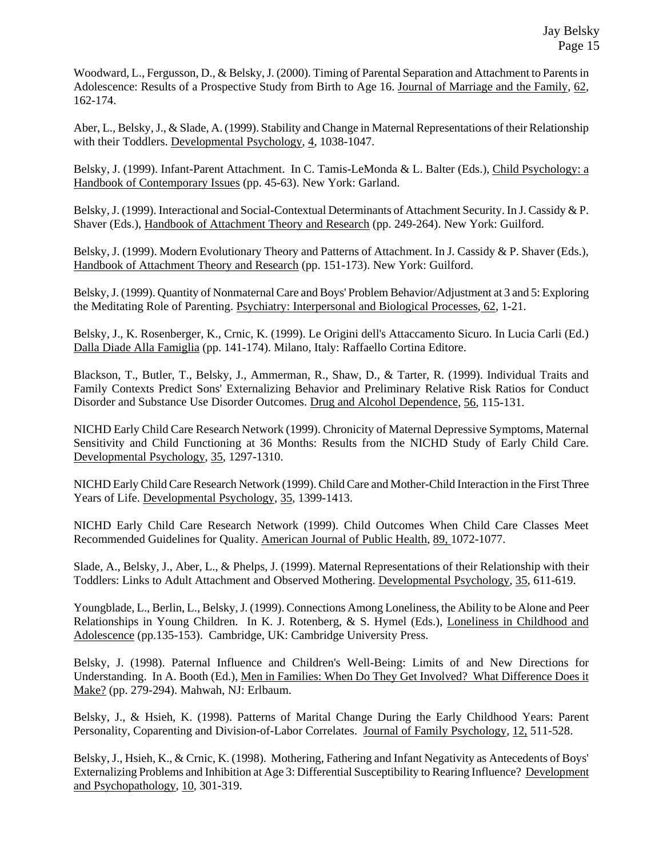Woodward, L., Fergusson, D., & Belsky, J. (2000). Timing of Parental Separation and Attachment to Parents in Adolescence: Results of a Prospective Study from Birth to Age 16. Journal of Marriage and the Family, 62, 162-174.

Aber, L., Belsky, J., & Slade, A. (1999). Stability and Change in Maternal Representations of their Relationship with their Toddlers. Developmental Psychology, 4, 1038-1047.

Belsky, J. (1999). Infant-Parent Attachment. In C. Tamis-LeMonda & L. Balter (Eds.), Child Psychology: a Handbook of Contemporary Issues (pp. 45-63). New York: Garland.

Belsky, J. (1999). Interactional and Social-Contextual Determinants of Attachment Security. In J. Cassidy & P. Shaver (Eds.), Handbook of Attachment Theory and Research (pp. 249-264). New York: Guilford.

Belsky, J. (1999). Modern Evolutionary Theory and Patterns of Attachment. In J. Cassidy & P. Shaver (Eds.), Handbook of Attachment Theory and Research (pp. 151-173). New York: Guilford.

Belsky, J. (1999). Quantity of Nonmaternal Care and Boys' Problem Behavior/Adjustment at 3 and 5: Exploring the Meditating Role of Parenting. Psychiatry: Interpersonal and Biological Processes, 62, 1-21.

Belsky, J., K. Rosenberger, K., Crnic, K. (1999). Le Origini dell's Attaccamento Sicuro. In Lucia Carli (Ed.) Dalla Diade Alla Famiglia (pp. 141-174). Milano, Italy: Raffaello Cortina Editore.

Blackson, T., Butler, T., Belsky, J., Ammerman, R., Shaw, D., & Tarter, R. (1999). Individual Traits and Family Contexts Predict Sons' Externalizing Behavior and Preliminary Relative Risk Ratios for Conduct Disorder and Substance Use Disorder Outcomes. Drug and Alcohol Dependence, 56, 115-131.

NICHD Early Child Care Research Network (1999). Chronicity of Maternal Depressive Symptoms, Maternal Sensitivity and Child Functioning at 36 Months: Results from the NICHD Study of Early Child Care. Developmental Psychology, 35, 1297-1310.

NICHD Early Child Care Research Network (1999). Child Care and Mother-Child Interaction in the First Three Years of Life. Developmental Psychology, 35, 1399-1413.

NICHD Early Child Care Research Network (1999). Child Outcomes When Child Care Classes Meet Recommended Guidelines for Quality. American Journal of Public Health, 89, 1072-1077.

Slade, A., Belsky, J., Aber, L., & Phelps, J. (1999). Maternal Representations of their Relationship with their Toddlers: Links to Adult Attachment and Observed Mothering. Developmental Psychology, 35, 611-619.

Youngblade, L., Berlin, L., Belsky, J. (1999). Connections Among Loneliness, the Ability to be Alone and Peer Relationships in Young Children. In K. J. Rotenberg, & S. Hymel (Eds.), Loneliness in Childhood and Adolescence (pp.135-153). Cambridge, UK: Cambridge University Press.

Belsky, J. (1998). Paternal Influence and Children's Well-Being: Limits of and New Directions for Understanding. In A. Booth (Ed.), Men in Families: When Do They Get Involved? What Difference Does it Make? (pp. 279-294). Mahwah, NJ: Erlbaum.

Belsky, J., & Hsieh, K. (1998). Patterns of Marital Change During the Early Childhood Years: Parent Personality, Coparenting and Division-of-Labor Correlates. Journal of Family Psychology, 12, 511-528.

Belsky, J., Hsieh, K., & Crnic, K. (1998). Mothering, Fathering and Infant Negativity as Antecedents of Boys' Externalizing Problems and Inhibition at Age 3: Differential Susceptibility to Rearing Influence? Development and Psychopathology, 10, 301-319.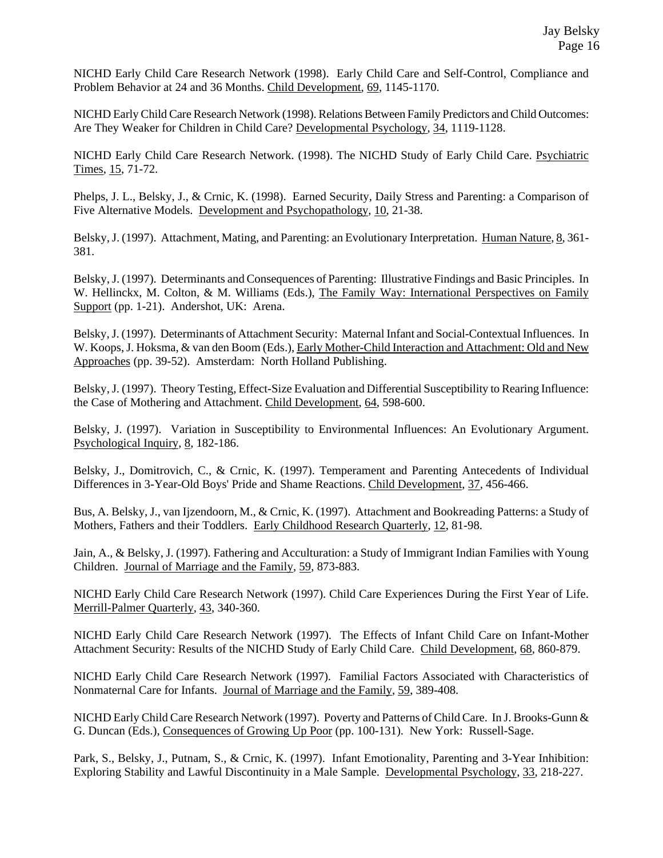NICHD Early Child Care Research Network (1998). Early Child Care and Self-Control, Compliance and Problem Behavior at 24 and 36 Months. Child Development, 69, 1145-1170.

NICHD Early Child Care Research Network (1998). Relations Between Family Predictors and Child Outcomes: Are They Weaker for Children in Child Care? Developmental Psychology, 34, 1119-1128.

NICHD Early Child Care Research Network. (1998). The NICHD Study of Early Child Care. Psychiatric Times, 15, 71-72.

Phelps, J. L., Belsky, J., & Crnic, K. (1998). Earned Security, Daily Stress and Parenting: a Comparison of Five Alternative Models. Development and Psychopathology, 10, 21-38.

Belsky, J. (1997). Attachment, Mating, and Parenting: an Evolutionary Interpretation. Human Nature, 8, 361-381.

Belsky, J. (1997). Determinants and Consequences of Parenting: Illustrative Findings and Basic Principles. In W. Hellinckx, M. Colton, & M. Williams (Eds.), The Family Way: International Perspectives on Family Support (pp. 1-21). Andershot, UK: Arena.

Belsky, J. (1997). Determinants of Attachment Security: Maternal Infant and Social-Contextual Influences. In W. Koops, J. Hoksma, & van den Boom (Eds.), Early Mother-Child Interaction and Attachment: Old and New Approaches (pp. 39-52). Amsterdam: North Holland Publishing.

Belsky, J. (1997). Theory Testing, Effect-Size Evaluation and Differential Susceptibility to Rearing Influence: the Case of Mothering and Attachment. Child Development, 64, 598-600.

Belsky, J. (1997). Variation in Susceptibility to Environmental Influences: An Evolutionary Argument. Psychological Inquiry, 8, 182-186.

Belsky, J., Domitrovich, C., & Crnic, K. (1997). Temperament and Parenting Antecedents of Individual Differences in 3-Year-Old Boys' Pride and Shame Reactions. Child Development, 37, 456-466.

Bus, A. Belsky, J., van Ijzendoorn, M., & Crnic, K. (1997). Attachment and Bookreading Patterns: a Study of Mothers, Fathers and their Toddlers. Early Childhood Research Quarterly, 12, 81-98.

Jain, A., & Belsky, J. (1997). Fathering and Acculturation: a Study of Immigrant Indian Families with Young Children. Journal of Marriage and the Family, 59, 873-883.

NICHD Early Child Care Research Network (1997). Child Care Experiences During the First Year of Life. Merrill-Palmer Quarterly, 43, 340-360.

NICHD Early Child Care Research Network (1997). The Effects of Infant Child Care on Infant-Mother Attachment Security: Results of the NICHD Study of Early Child Care. Child Development, 68, 860-879.

NICHD Early Child Care Research Network (1997). Familial Factors Associated with Characteristics of Nonmaternal Care for Infants. Journal of Marriage and the Family, 59, 389-408.

NICHD Early Child Care Research Network (1997). Poverty and Patterns of Child Care. In J. Brooks-Gunn & G. Duncan (Eds.), Consequences of Growing Up Poor (pp. 100-131). New York: Russell-Sage.

Park, S., Belsky, J., Putnam, S., & Crnic, K. (1997). Infant Emotionality, Parenting and 3-Year Inhibition: Exploring Stability and Lawful Discontinuity in a Male Sample. Developmental Psychology, 33, 218-227.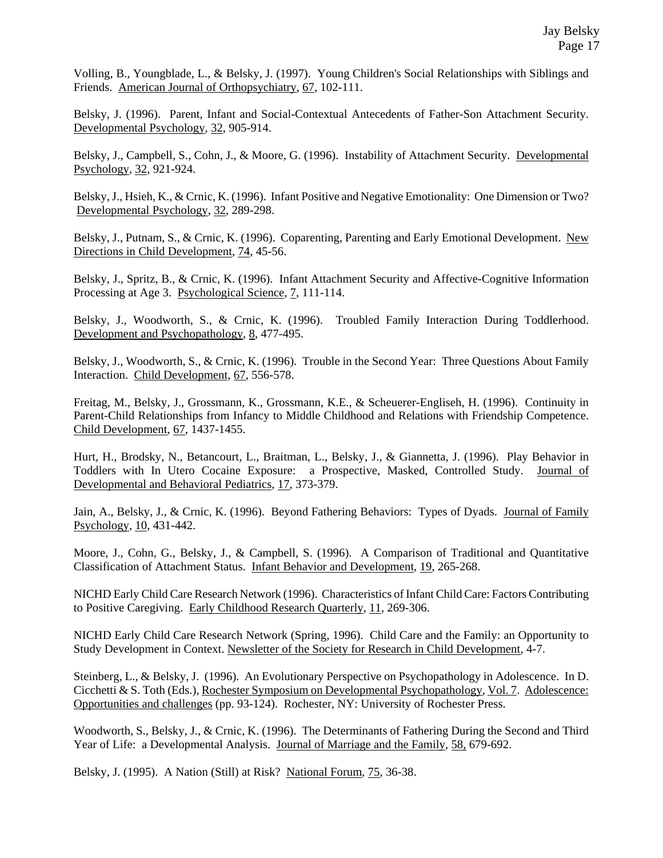Volling, B., Youngblade, L., & Belsky, J. (1997). Young Children's Social Relationships with Siblings and Friends. American Journal of Orthopsychiatry, 67, 102-111.

Belsky, J. (1996). Parent, Infant and Social-Contextual Antecedents of Father-Son Attachment Security. Developmental Psychology, 32, 905-914.

Belsky, J., Campbell, S., Cohn, J., & Moore, G. (1996). Instability of Attachment Security. Developmental Psychology, 32, 921-924.

Belsky, J., Hsieh, K., & Crnic, K. (1996). Infant Positive and Negative Emotionality: One Dimension or Two? Developmental Psychology, 32, 289-298.

Belsky, J., Putnam, S., & Crnic, K. (1996). Coparenting, Parenting and Early Emotional Development. New Directions in Child Development, 74, 45-56.

Belsky, J., Spritz, B., & Crnic, K. (1996). Infant Attachment Security and Affective-Cognitive Information Processing at Age 3. Psychological Science, 7, 111-114.

Belsky, J., Woodworth, S., & Crnic, K. (1996). Troubled Family Interaction During Toddlerhood. Development and Psychopathology, 8, 477-495.

Belsky, J., Woodworth, S., & Crnic, K. (1996). Trouble in the Second Year: Three Questions About Family Interaction. Child Development, 67, 556-578.

Freitag, M., Belsky, J., Grossmann, K., Grossmann, K.E., & Scheuerer-Engliseh, H. (1996). Continuity in Parent-Child Relationships from Infancy to Middle Childhood and Relations with Friendship Competence. Child Development, 67, 1437-1455.

Hurt, H., Brodsky, N., Betancourt, L., Braitman, L., Belsky, J., & Giannetta, J. (1996). Play Behavior in Toddlers with In Utero Cocaine Exposure: a Prospective, Masked, Controlled Study. Journal of Developmental and Behavioral Pediatrics, 17, 373-379.

Jain, A., Belsky, J., & Crnic, K. (1996). Beyond Fathering Behaviors: Types of Dyads. Journal of Family Psychology, 10, 431-442.

Moore, J., Cohn, G., Belsky, J., & Campbell, S. (1996). A Comparison of Traditional and Quantitative Classification of Attachment Status. Infant Behavior and Development, 19, 265-268.

NICHD Early Child Care Research Network (1996). Characteristics of Infant Child Care: Factors Contributing to Positive Caregiving. Early Childhood Research Quarterly, 11, 269-306.

NICHD Early Child Care Research Network (Spring, 1996). Child Care and the Family: an Opportunity to Study Development in Context. Newsletter of the Society for Research in Child Development, 4-7.

Steinberg, L., & Belsky, J. (1996). An Evolutionary Perspective on Psychopathology in Adolescence. In D. Cicchetti & S. Toth (Eds.), Rochester Symposium on Developmental Psychopathology, Vol. 7. Adolescence: Opportunities and challenges (pp. 93-124). Rochester, NY: University of Rochester Press.

Woodworth, S., Belsky, J., & Crnic, K. (1996). The Determinants of Fathering During the Second and Third Year of Life: a Developmental Analysis. Journal of Marriage and the Family, 58, 679-692.

Belsky, J. (1995). A Nation (Still) at Risk? National Forum, 75, 36-38.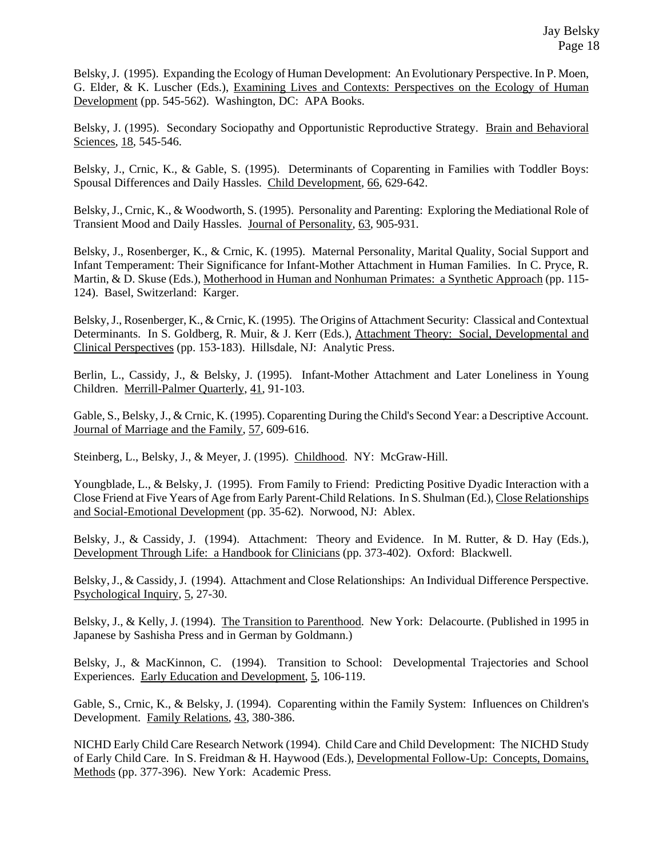Belsky, J. (1995). Expanding the Ecology of Human Development: An Evolutionary Perspective. In P. Moen, G. Elder, & K. Luscher (Eds.), Examining Lives and Contexts: Perspectives on the Ecology of Human Development (pp. 545-562). Washington, DC: APA Books.

Belsky, J. (1995). Secondary Sociopathy and Opportunistic Reproductive Strategy. Brain and Behavioral Sciences, 18, 545-546.

Belsky, J., Crnic, K., & Gable, S. (1995). Determinants of Coparenting in Families with Toddler Boys: Spousal Differences and Daily Hassles. Child Development, 66, 629-642.

Belsky, J., Crnic, K., & Woodworth, S. (1995). Personality and Parenting: Exploring the Mediational Role of Transient Mood and Daily Hassles. Journal of Personality, 63, 905-931.

Belsky, J., Rosenberger, K., & Crnic, K. (1995). Maternal Personality, Marital Quality, Social Support and Infant Temperament: Their Significance for Infant-Mother Attachment in Human Families. In C. Pryce, R. Martin, & D. Skuse (Eds.), Motherhood in Human and Nonhuman Primates: a Synthetic Approach (pp. 115- 124). Basel, Switzerland: Karger.

Belsky, J., Rosenberger, K., & Crnic, K. (1995). The Origins of Attachment Security: Classical and Contextual Determinants. In S. Goldberg, R. Muir, & J. Kerr (Eds.), Attachment Theory: Social, Developmental and Clinical Perspectives (pp. 153-183). Hillsdale, NJ: Analytic Press.

Berlin, L., Cassidy, J., & Belsky, J. (1995). Infant-Mother Attachment and Later Loneliness in Young Children. Merrill-Palmer Quarterly, 41, 91-103.

Gable, S., Belsky, J., & Crnic, K. (1995). Coparenting During the Child's Second Year: a Descriptive Account. Journal of Marriage and the Family, 57, 609-616.

Steinberg, L., Belsky, J., & Meyer, J. (1995). Childhood. NY: McGraw-Hill.

Youngblade, L., & Belsky, J. (1995). From Family to Friend: Predicting Positive Dyadic Interaction with a Close Friend at Five Years of Age from Early Parent-Child Relations. In S. Shulman (Ed.), Close Relationships and Social-Emotional Development (pp. 35-62). Norwood, NJ: Ablex.

Belsky, J., & Cassidy, J. (1994). Attachment: Theory and Evidence. In M. Rutter, & D. Hay (Eds.), Development Through Life: a Handbook for Clinicians (pp. 373-402). Oxford: Blackwell.

Belsky, J., & Cassidy, J. (1994). Attachment and Close Relationships: An Individual Difference Perspective. Psychological Inquiry, 5, 27-30.

Belsky, J., & Kelly, J. (1994). The Transition to Parenthood. New York: Delacourte. (Published in 1995 in Japanese by Sashisha Press and in German by Goldmann.)

Belsky, J., & MacKinnon, C. (1994). Transition to School: Developmental Trajectories and School Experiences. Early Education and Development, 5, 106-119.

Gable, S., Crnic, K., & Belsky, J. (1994). Coparenting within the Family System: Influences on Children's Development. Family Relations, 43, 380-386.

NICHD Early Child Care Research Network (1994). Child Care and Child Development: The NICHD Study of Early Child Care. In S. Freidman & H. Haywood (Eds.), Developmental Follow-Up: Concepts, Domains, Methods (pp. 377-396). New York: Academic Press.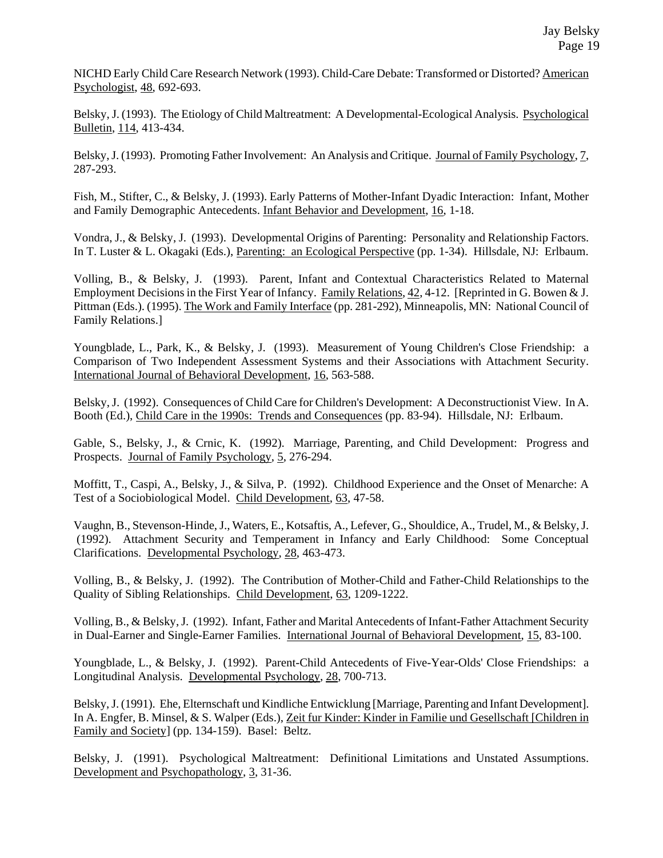NICHD Early Child Care Research Network (1993). Child-Care Debate: Transformed or Distorted? American Psychologist, 48, 692-693.

Belsky, J. (1993). The Etiology of Child Maltreatment: A Developmental-Ecological Analysis. Psychological Bulletin, 114, 413-434.

Belsky, J. (1993). Promoting Father Involvement: An Analysis and Critique. Journal of Family Psychology, 7, 287-293.

Fish, M., Stifter, C., & Belsky, J. (1993). Early Patterns of Mother-Infant Dyadic Interaction: Infant, Mother and Family Demographic Antecedents. Infant Behavior and Development, 16, 1-18.

Vondra, J., & Belsky, J. (1993). Developmental Origins of Parenting: Personality and Relationship Factors. In T. Luster & L. Okagaki (Eds.), Parenting: an Ecological Perspective (pp. 1-34). Hillsdale, NJ: Erlbaum.

Volling, B., & Belsky, J. (1993). Parent, Infant and Contextual Characteristics Related to Maternal Employment Decisions in the First Year of Infancy. Family Relations, 42, 4-12. [Reprinted in G. Bowen & J. Pittman (Eds.). (1995). The Work and Family Interface (pp. 281-292), Minneapolis, MN: National Council of Family Relations.]

Youngblade, L., Park, K., & Belsky, J. (1993). Measurement of Young Children's Close Friendship: a Comparison of Two Independent Assessment Systems and their Associations with Attachment Security. International Journal of Behavioral Development, 16, 563-588.

Belsky, J. (1992). Consequences of Child Care for Children's Development: A Deconstructionist View. In A. Booth (Ed.), Child Care in the 1990s: Trends and Consequences (pp. 83-94). Hillsdale, NJ: Erlbaum.

Gable, S., Belsky, J., & Crnic, K. (1992). Marriage, Parenting, and Child Development: Progress and Prospects. Journal of Family Psychology, 5, 276-294.

Moffitt, T., Caspi, A., Belsky, J., & Silva, P. (1992). Childhood Experience and the Onset of Menarche: A Test of a Sociobiological Model. Child Development, 63, 47-58.

Vaughn, B., Stevenson-Hinde, J., Waters, E., Kotsaftis, A., Lefever, G., Shouldice, A., Trudel, M., & Belsky, J. (1992). Attachment Security and Temperament in Infancy and Early Childhood: Some Conceptual Clarifications. Developmental Psychology, 28, 463-473.

Volling, B., & Belsky, J. (1992). The Contribution of Mother-Child and Father-Child Relationships to the Quality of Sibling Relationships. Child Development, 63, 1209-1222.

Volling, B., & Belsky, J. (1992). Infant, Father and Marital Antecedents of Infant-Father Attachment Security in Dual-Earner and Single-Earner Families. International Journal of Behavioral Development, 15, 83-100.

Youngblade, L., & Belsky, J. (1992). Parent-Child Antecedents of Five-Year-Olds' Close Friendships: a Longitudinal Analysis. Developmental Psychology, 28, 700-713.

Belsky, J. (1991). Ehe, Elternschaft und Kindliche Entwicklung [Marriage, Parenting and Infant Development]. In A. Engfer, B. Minsel, & S. Walper (Eds.), Zeit fur Kinder: Kinder in Familie und Gesellschaft [Children in Family and Society] (pp. 134-159). Basel: Beltz.

Belsky, J. (1991). Psychological Maltreatment: Definitional Limitations and Unstated Assumptions. Development and Psychopathology, 3, 31-36.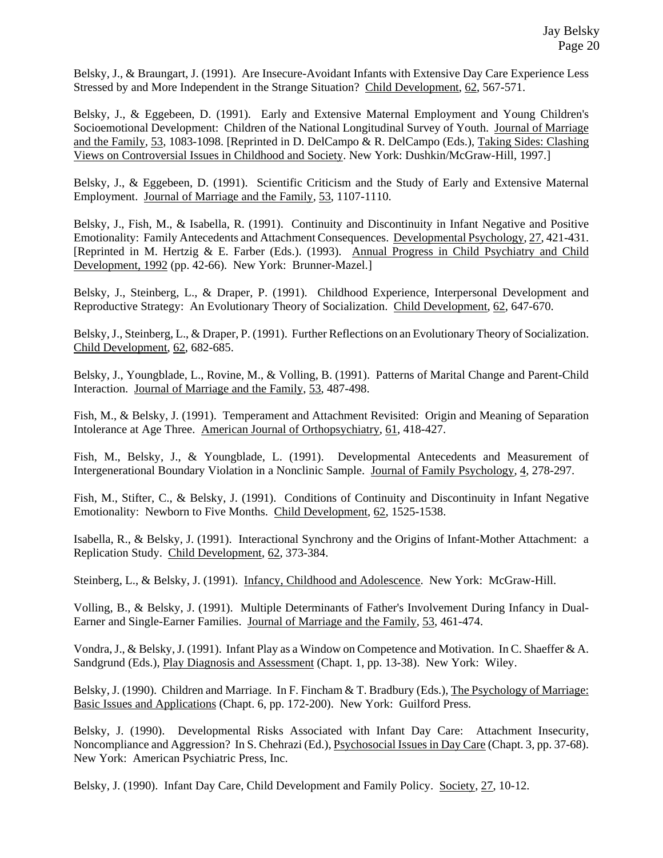Belsky, J., & Braungart, J. (1991). Are Insecure-Avoidant Infants with Extensive Day Care Experience Less Stressed by and More Independent in the Strange Situation? Child Development, 62, 567-571.

Belsky, J., & Eggebeen, D. (1991). Early and Extensive Maternal Employment and Young Children's Socioemotional Development: Children of the National Longitudinal Survey of Youth. Journal of Marriage and the Family, 53, 1083-1098. [Reprinted in D. DelCampo & R. DelCampo (Eds.), Taking Sides: Clashing Views on Controversial Issues in Childhood and Society. New York: Dushkin/McGraw-Hill, 1997.]

Belsky, J., & Eggebeen, D. (1991). Scientific Criticism and the Study of Early and Extensive Maternal Employment. Journal of Marriage and the Family, 53, 1107-1110.

Belsky, J., Fish, M., & Isabella, R. (1991). Continuity and Discontinuity in Infant Negative and Positive Emotionality: Family Antecedents and Attachment Consequences. Developmental Psychology, 27, 421-431. [Reprinted in M. Hertzig & E. Farber (Eds.). (1993). Annual Progress in Child Psychiatry and Child Development, 1992 (pp. 42-66). New York: Brunner-Mazel.]

Belsky, J., Steinberg, L., & Draper, P. (1991). Childhood Experience, Interpersonal Development and Reproductive Strategy: An Evolutionary Theory of Socialization. Child Development, 62, 647-670.

Belsky, J., Steinberg, L., & Draper, P. (1991). Further Reflections on an Evolutionary Theory of Socialization. Child Development, 62, 682-685.

Belsky, J., Youngblade, L., Rovine, M., & Volling, B. (1991). Patterns of Marital Change and Parent-Child Interaction. Journal of Marriage and the Family, 53, 487-498.

Fish, M., & Belsky, J. (1991). Temperament and Attachment Revisited: Origin and Meaning of Separation Intolerance at Age Three. American Journal of Orthopsychiatry, 61, 418-427.

Fish, M., Belsky, J., & Youngblade, L. (1991). Developmental Antecedents and Measurement of Intergenerational Boundary Violation in a Nonclinic Sample. Journal of Family Psychology, 4, 278-297.

Fish, M., Stifter, C., & Belsky, J. (1991). Conditions of Continuity and Discontinuity in Infant Negative Emotionality: Newborn to Five Months. Child Development, 62, 1525-1538.

Isabella, R., & Belsky, J. (1991). Interactional Synchrony and the Origins of Infant-Mother Attachment: a Replication Study. Child Development, 62, 373-384.

Steinberg, L., & Belsky, J. (1991). Infancy, Childhood and Adolescence. New York: McGraw-Hill.

Volling, B., & Belsky, J. (1991). Multiple Determinants of Father's Involvement During Infancy in Dual-Earner and Single-Earner Families. Journal of Marriage and the Family, 53, 461-474.

Vondra, J., & Belsky, J. (1991). Infant Play as a Window on Competence and Motivation. In C. Shaeffer & A. Sandgrund (Eds.), Play Diagnosis and Assessment (Chapt. 1, pp. 13-38). New York: Wiley.

Belsky, J. (1990). Children and Marriage. In F. Fincham & T. Bradbury (Eds.), The Psychology of Marriage: Basic Issues and Applications (Chapt. 6, pp. 172-200). New York: Guilford Press.

Belsky, J. (1990). Developmental Risks Associated with Infant Day Care: Attachment Insecurity, Noncompliance and Aggression? In S. Chehrazi (Ed.), *Psychosocial Issues in Day Care (Chapt. 3, pp. 37-68)*. New York: American Psychiatric Press, Inc.

Belsky, J. (1990). Infant Day Care, Child Development and Family Policy. Society, 27, 10-12.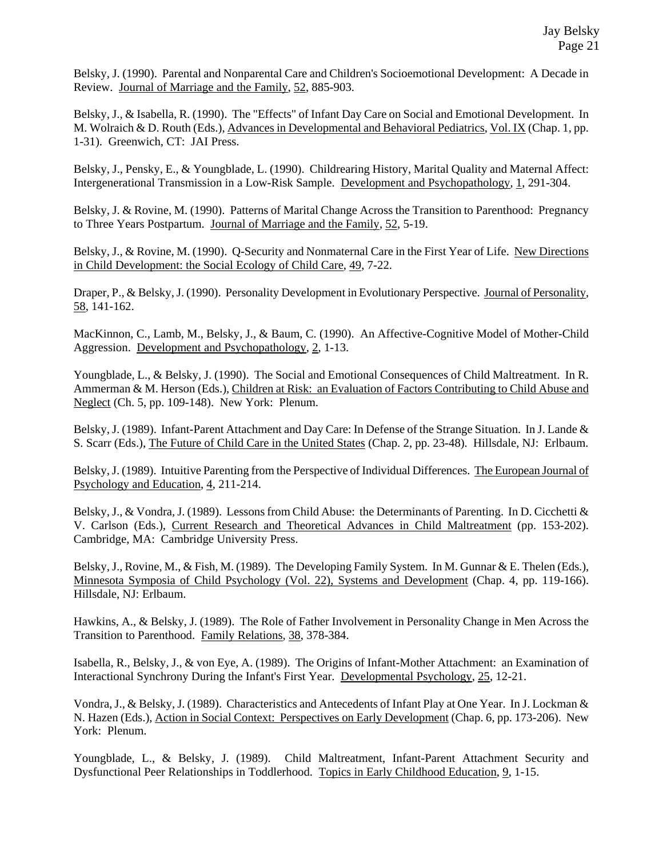Belsky, J. (1990). Parental and Nonparental Care and Children's Socioemotional Development: A Decade in Review. Journal of Marriage and the Family, 52, 885-903.

Belsky, J., & Isabella, R. (1990). The "Effects" of Infant Day Care on Social and Emotional Development. In M. Wolraich & D. Routh (Eds.), Advances in Developmental and Behavioral Pediatrics, Vol. IX (Chap. 1, pp. 1-31). Greenwich, CT: JAI Press.

Belsky, J., Pensky, E., & Youngblade, L. (1990). Childrearing History, Marital Quality and Maternal Affect: Intergenerational Transmission in a Low-Risk Sample. Development and Psychopathology, 1, 291-304.

Belsky, J. & Rovine, M. (1990). Patterns of Marital Change Across the Transition to Parenthood: Pregnancy to Three Years Postpartum. Journal of Marriage and the Family, 52, 5-19.

Belsky, J., & Rovine, M. (1990). Q-Security and Nonmaternal Care in the First Year of Life. New Directions in Child Development: the Social Ecology of Child Care, 49, 7-22.

Draper, P., & Belsky, J. (1990). Personality Development in Evolutionary Perspective. Journal of Personality, 58, 141-162.

MacKinnon, C., Lamb, M., Belsky, J., & Baum, C. (1990). An Affective-Cognitive Model of Mother-Child Aggression. Development and Psychopathology, 2, 1-13.

Youngblade, L., & Belsky, J. (1990). The Social and Emotional Consequences of Child Maltreatment. In R. Ammerman & M. Herson (Eds.), Children at Risk: an Evaluation of Factors Contributing to Child Abuse and Neglect (Ch. 5, pp. 109-148). New York: Plenum.

Belsky, J. (1989). Infant-Parent Attachment and Day Care: In Defense of the Strange Situation. In J. Lande & S. Scarr (Eds.), The Future of Child Care in the United States (Chap. 2, pp. 23-48). Hillsdale, NJ: Erlbaum.

Belsky, J. (1989). Intuitive Parenting from the Perspective of Individual Differences. The European Journal of Psychology and Education, 4, 211-214.

Belsky, J., & Vondra, J. (1989). Lessons from Child Abuse: the Determinants of Parenting. In D. Cicchetti & V. Carlson (Eds.), Current Research and Theoretical Advances in Child Maltreatment (pp. 153-202). Cambridge, MA: Cambridge University Press.

Belsky, J., Rovine, M., & Fish, M. (1989). The Developing Family System. In M. Gunnar & E. Thelen (Eds.), Minnesota Symposia of Child Psychology (Vol. 22), Systems and Development (Chap. 4, pp. 119-166). Hillsdale, NJ: Erlbaum.

Hawkins, A., & Belsky, J. (1989). The Role of Father Involvement in Personality Change in Men Across the Transition to Parenthood. Family Relations, 38, 378-384.

Isabella, R., Belsky, J., & von Eye, A. (1989). The Origins of Infant-Mother Attachment: an Examination of Interactional Synchrony During the Infant's First Year. Developmental Psychology, 25, 12-21.

Vondra, J., & Belsky, J. (1989). Characteristics and Antecedents of Infant Play at One Year. In J. Lockman & N. Hazen (Eds.), Action in Social Context: Perspectives on Early Development (Chap. 6, pp. 173-206). New York: Plenum.

Youngblade, L., & Belsky, J. (1989). Child Maltreatment, Infant-Parent Attachment Security and Dysfunctional Peer Relationships in Toddlerhood. Topics in Early Childhood Education, 9, 1-15.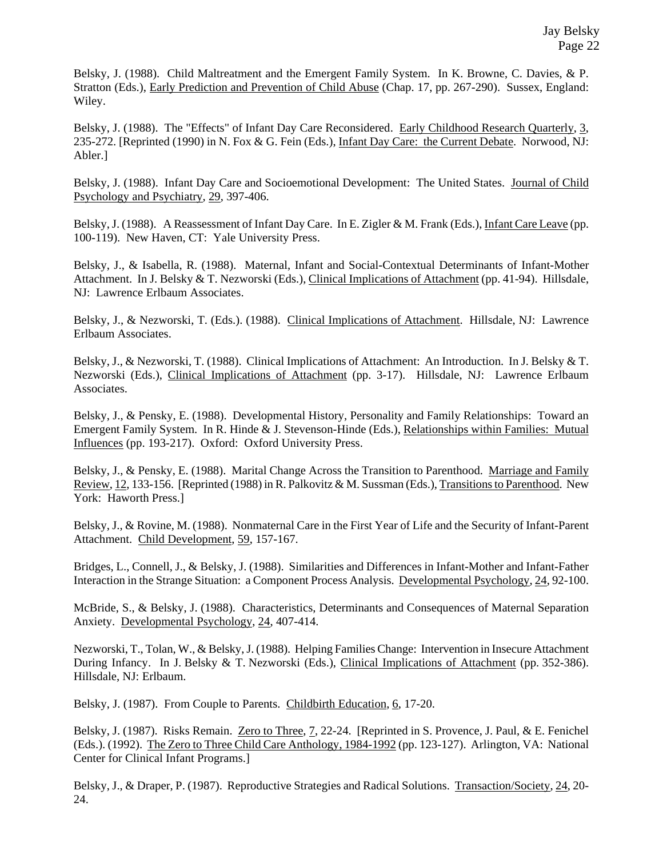Belsky, J. (1988). Child Maltreatment and the Emergent Family System. In K. Browne, C. Davies, & P. Stratton (Eds.), Early Prediction and Prevention of Child Abuse (Chap. 17, pp. 267-290). Sussex, England: Wiley.

Belsky, J. (1988). The "Effects" of Infant Day Care Reconsidered. Early Childhood Research Quarterly, 3, 235-272. [Reprinted (1990) in N. Fox & G. Fein (Eds.), Infant Day Care: the Current Debate. Norwood, NJ: Abler.]

Belsky, J. (1988). Infant Day Care and Socioemotional Development: The United States. Journal of Child Psychology and Psychiatry, 29, 397-406.

Belsky, J. (1988). A Reassessment of Infant Day Care. In E. Zigler & M. Frank (Eds.), Infant Care Leave (pp. 100-119). New Haven, CT: Yale University Press.

Belsky, J., & Isabella, R. (1988). Maternal, Infant and Social-Contextual Determinants of Infant-Mother Attachment. In J. Belsky & T. Nezworski (Eds.), Clinical Implications of Attachment (pp. 41-94). Hillsdale, NJ: Lawrence Erlbaum Associates.

Belsky, J., & Nezworski, T. (Eds.). (1988). Clinical Implications of Attachment. Hillsdale, NJ: Lawrence Erlbaum Associates.

Belsky, J., & Nezworski, T. (1988). Clinical Implications of Attachment: An Introduction. In J. Belsky & T. Nezworski (Eds.), Clinical Implications of Attachment (pp. 3-17). Hillsdale, NJ: Lawrence Erlbaum Associates.

Belsky, J., & Pensky, E. (1988). Developmental History, Personality and Family Relationships: Toward an Emergent Family System. In R. Hinde & J. Stevenson-Hinde (Eds.), Relationships within Families: Mutual Influences (pp. 193-217). Oxford: Oxford University Press.

Belsky, J., & Pensky, E. (1988). Marital Change Across the Transition to Parenthood. Marriage and Family Review, 12, 133-156. [Reprinted (1988) in R. Palkovitz & M. Sussman (Eds.), Transitions to Parenthood. New York: Haworth Press.]

Belsky, J., & Rovine, M. (1988). Nonmaternal Care in the First Year of Life and the Security of Infant-Parent Attachment. Child Development, 59, 157-167.

Bridges, L., Connell, J., & Belsky, J. (1988). Similarities and Differences in Infant-Mother and Infant-Father Interaction in the Strange Situation: a Component Process Analysis. Developmental Psychology, 24, 92-100.

McBride, S., & Belsky, J. (1988). Characteristics, Determinants and Consequences of Maternal Separation Anxiety. Developmental Psychology, 24, 407-414.

Nezworski, T., Tolan, W., & Belsky, J. (1988). Helping Families Change: Intervention in Insecure Attachment During Infancy. In J. Belsky & T. Nezworski (Eds.), Clinical Implications of Attachment (pp. 352-386). Hillsdale, NJ: Erlbaum.

Belsky, J. (1987). From Couple to Parents. Childbirth Education, 6, 17-20.

Belsky, J. (1987). Risks Remain. Zero to Three, 7, 22-24. [Reprinted in S. Provence, J. Paul, & E. Fenichel (Eds.). (1992). The Zero to Three Child Care Anthology, 1984-1992 (pp. 123-127). Arlington, VA: National Center for Clinical Infant Programs.]

Belsky, J., & Draper, P. (1987). Reproductive Strategies and Radical Solutions. Transaction/Society, 24, 20- 24.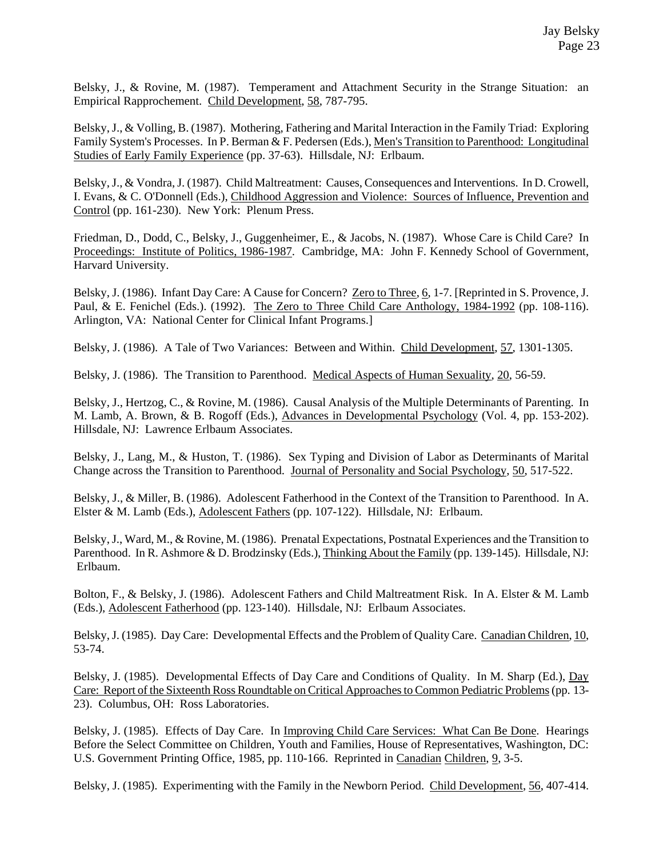Belsky, J., & Rovine, M. (1987). Temperament and Attachment Security in the Strange Situation: an Empirical Rapprochement. Child Development, 58, 787-795.

Belsky, J., & Volling, B. (1987). Mothering, Fathering and Marital Interaction in the Family Triad: Exploring Family System's Processes. In P. Berman & F. Pedersen (Eds.), Men's Transition to Parenthood: Longitudinal Studies of Early Family Experience (pp. 37-63). Hillsdale, NJ: Erlbaum.

Belsky, J., & Vondra, J. (1987). Child Maltreatment: Causes, Consequences and Interventions. In D. Crowell, I. Evans, & C. O'Donnell (Eds.), Childhood Aggression and Violence: Sources of Influence, Prevention and Control (pp. 161-230). New York: Plenum Press.

Friedman, D., Dodd, C., Belsky, J., Guggenheimer, E., & Jacobs, N. (1987). Whose Care is Child Care? In Proceedings: Institute of Politics, 1986-1987. Cambridge, MA: John F. Kennedy School of Government, Harvard University.

Belsky, J. (1986). Infant Day Care: A Cause for Concern? Zero to Three, 6, 1-7. [Reprinted in S. Provence, J. Paul, & E. Fenichel (Eds.). (1992). The Zero to Three Child Care Anthology, 1984-1992 (pp. 108-116). Arlington, VA: National Center for Clinical Infant Programs.]

Belsky, J. (1986). A Tale of Two Variances: Between and Within. Child Development, 57, 1301-1305.

Belsky, J. (1986). The Transition to Parenthood. Medical Aspects of Human Sexuality, 20, 56-59.

Belsky, J., Hertzog, C., & Rovine, M. (1986). Causal Analysis of the Multiple Determinants of Parenting. In M. Lamb, A. Brown, & B. Rogoff (Eds.), Advances in Developmental Psychology (Vol. 4, pp. 153-202). Hillsdale, NJ: Lawrence Erlbaum Associates.

Belsky, J., Lang, M., & Huston, T. (1986). Sex Typing and Division of Labor as Determinants of Marital Change across the Transition to Parenthood. Journal of Personality and Social Psychology, 50, 517-522.

Belsky, J., & Miller, B. (1986). Adolescent Fatherhood in the Context of the Transition to Parenthood. In A. Elster & M. Lamb (Eds.), Adolescent Fathers (pp. 107-122). Hillsdale, NJ: Erlbaum.

Belsky, J., Ward, M., & Rovine, M. (1986). Prenatal Expectations, Postnatal Experiences and the Transition to Parenthood. In R. Ashmore & D. Brodzinsky (Eds.), Thinking About the Family (pp. 139-145). Hillsdale, NJ: Erlbaum.

Bolton, F., & Belsky, J. (1986). Adolescent Fathers and Child Maltreatment Risk. In A. Elster & M. Lamb (Eds.), Adolescent Fatherhood (pp. 123-140). Hillsdale, NJ: Erlbaum Associates.

Belsky, J. (1985). Day Care: Developmental Effects and the Problem of Quality Care. Canadian Children, 10, 53-74.

Belsky, J. (1985). Developmental Effects of Day Care and Conditions of Quality. In M. Sharp (Ed.), Day Care: Report of the Sixteenth Ross Roundtable on Critical Approaches to Common Pediatric Problems (pp. 13- 23). Columbus, OH: Ross Laboratories.

Belsky, J. (1985). Effects of Day Care. In Improving Child Care Services: What Can Be Done. Hearings Before the Select Committee on Children, Youth and Families, House of Representatives, Washington, DC: U.S. Government Printing Office, 1985, pp. 110-166. Reprinted in Canadian Children, 9, 3-5.

Belsky, J. (1985). Experimenting with the Family in the Newborn Period. Child Development, 56, 407-414.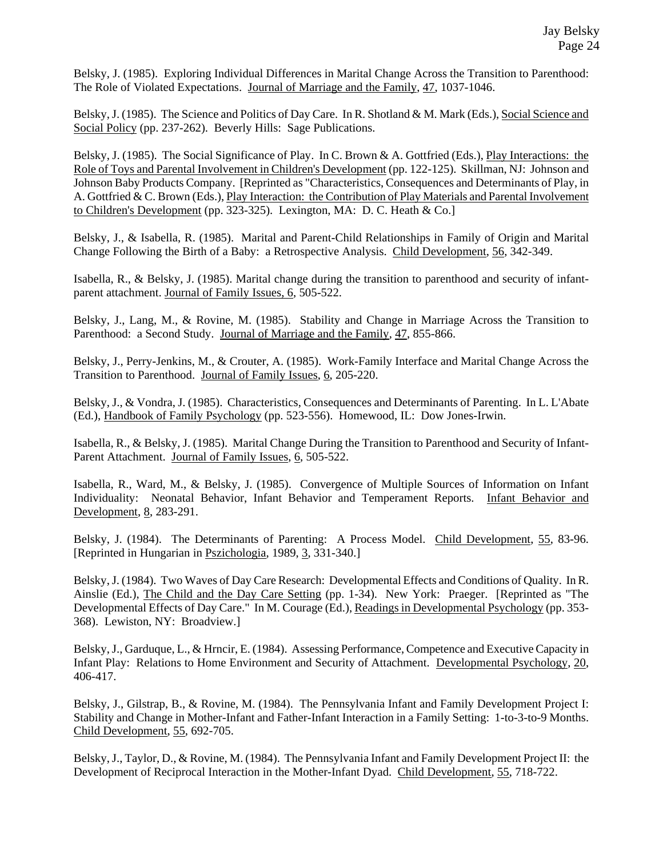Belsky, J. (1985). Exploring Individual Differences in Marital Change Across the Transition to Parenthood: The Role of Violated Expectations. Journal of Marriage and the Family, 47, 1037-1046.

Belsky, J. (1985). The Science and Politics of Day Care. In R. Shotland & M. Mark (Eds.), Social Science and Social Policy (pp. 237-262). Beverly Hills: Sage Publications.

Belsky, J. (1985). The Social Significance of Play. In C. Brown & A. Gottfried (Eds.), Play Interactions: the Role of Toys and Parental Involvement in Children's Development (pp. 122-125). Skillman, NJ: Johnson and Johnson Baby Products Company. [Reprinted as "Characteristics, Consequences and Determinants of Play, in A. Gottfried & C. Brown (Eds.), Play Interaction: the Contribution of Play Materials and Parental Involvement to Children's Development (pp. 323-325). Lexington, MA: D. C. Heath & Co.]

Belsky, J., & Isabella, R. (1985). Marital and Parent-Child Relationships in Family of Origin and Marital Change Following the Birth of a Baby: a Retrospective Analysis. Child Development, 56, 342-349.

Isabella, R., & Belsky, J. (1985). Marital change during the transition to parenthood and security of infantparent attachment. Journal of Family Issues, 6, 505-522.

Belsky, J., Lang, M., & Rovine, M. (1985). Stability and Change in Marriage Across the Transition to Parenthood: a Second Study. Journal of Marriage and the Family, 47, 855-866.

Belsky, J., Perry-Jenkins, M., & Crouter, A. (1985). Work-Family Interface and Marital Change Across the Transition to Parenthood. Journal of Family Issues, 6, 205-220.

Belsky, J., & Vondra, J. (1985). Characteristics, Consequences and Determinants of Parenting. In L. L'Abate (Ed.), Handbook of Family Psychology (pp. 523-556). Homewood, IL: Dow Jones-Irwin.

Isabella, R., & Belsky, J. (1985). Marital Change During the Transition to Parenthood and Security of Infant-Parent Attachment. Journal of Family Issues, 6, 505-522.

Isabella, R., Ward, M., & Belsky, J. (1985). Convergence of Multiple Sources of Information on Infant Individuality: Neonatal Behavior, Infant Behavior and Temperament Reports. Infant Behavior and Development, 8, 283-291.

Belsky, J. (1984). The Determinants of Parenting: A Process Model. Child Development, 55, 83-96. [Reprinted in Hungarian in Pszichologia, 1989, 3, 331-340.]

Belsky, J. (1984). Two Waves of Day Care Research: Developmental Effects and Conditions of Quality. In R. Ainslie (Ed.), The Child and the Day Care Setting (pp. 1-34). New York: Praeger. [Reprinted as "The Developmental Effects of Day Care." In M. Courage (Ed.), Readings in Developmental Psychology (pp. 353- 368). Lewiston, NY: Broadview.]

Belsky, J., Garduque, L., & Hrncir, E. (1984). Assessing Performance, Competence and Executive Capacity in Infant Play: Relations to Home Environment and Security of Attachment. Developmental Psychology, 20, 406-417.

Belsky, J., Gilstrap, B., & Rovine, M. (1984). The Pennsylvania Infant and Family Development Project I: Stability and Change in Mother-Infant and Father-Infant Interaction in a Family Setting: 1-to-3-to-9 Months. Child Development, 55, 692-705.

Belsky, J., Taylor, D., & Rovine, M. (1984). The Pennsylvania Infant and Family Development Project II: the Development of Reciprocal Interaction in the Mother-Infant Dyad. Child Development, 55, 718-722.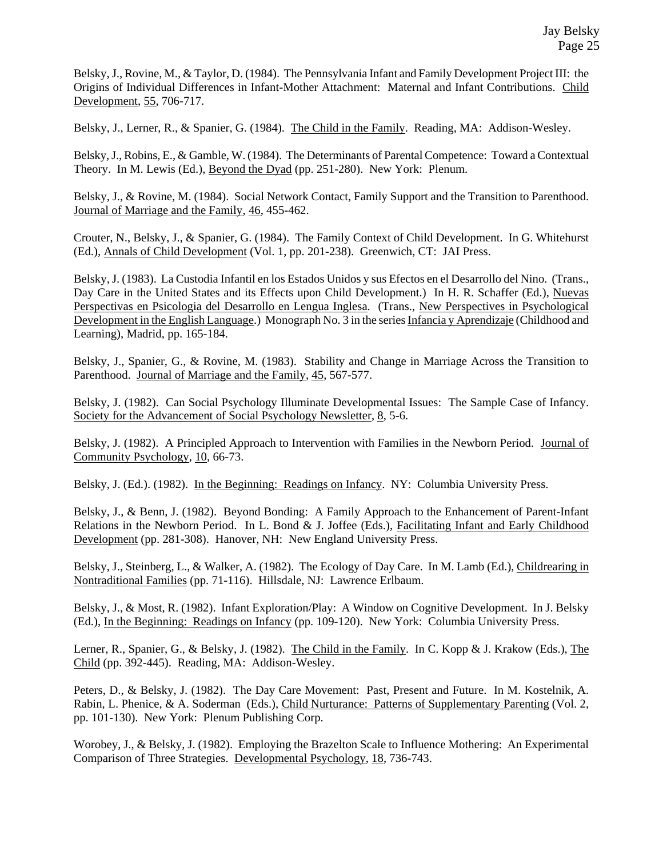Belsky, J., Rovine, M., & Taylor, D. (1984). The Pennsylvania Infant and Family Development Project III: the Origins of Individual Differences in Infant-Mother Attachment: Maternal and Infant Contributions. Child Development, 55, 706-717.

Belsky, J., Lerner, R., & Spanier, G. (1984). The Child in the Family. Reading, MA: Addison-Wesley.

Belsky, J., Robins, E., & Gamble, W. (1984). The Determinants of Parental Competence: Toward a Contextual Theory. In M. Lewis (Ed.), Beyond the Dyad (pp. 251-280). New York: Plenum.

Belsky, J., & Rovine, M. (1984). Social Network Contact, Family Support and the Transition to Parenthood. Journal of Marriage and the Family, 46, 455-462.

Crouter, N., Belsky, J., & Spanier, G. (1984). The Family Context of Child Development. In G. Whitehurst (Ed.), Annals of Child Development (Vol. 1, pp. 201-238). Greenwich, CT: JAI Press.

Belsky, J. (1983). La Custodia Infantil en los Estados Unidos y sus Efectos en el Desarrollo del Nino. (Trans., Day Care in the United States and its Effects upon Child Development.) In H. R. Schaffer (Ed.), Nuevas Perspectivas en Psicologia del Desarrollo en Lengua Inglesa. (Trans., New Perspectives in Psychological Development in the English Language.) Monograph No. 3 in the series Infancia y Aprendizaje (Childhood and Learning), Madrid, pp. 165-184.

Belsky, J., Spanier, G., & Rovine, M. (1983). Stability and Change in Marriage Across the Transition to Parenthood. Journal of Marriage and the Family, 45, 567-577.

Belsky, J. (1982). Can Social Psychology Illuminate Developmental Issues: The Sample Case of Infancy. Society for the Advancement of Social Psychology Newsletter, 8, 5-6.

Belsky, J. (1982). A Principled Approach to Intervention with Families in the Newborn Period. Journal of Community Psychology, 10, 66-73.

Belsky, J. (Ed.). (1982). In the Beginning: Readings on Infancy. NY: Columbia University Press.

Belsky, J., & Benn, J. (1982). Beyond Bonding: A Family Approach to the Enhancement of Parent-Infant Relations in the Newborn Period. In L. Bond & J. Joffee (Eds.), Facilitating Infant and Early Childhood Development (pp. 281-308). Hanover, NH: New England University Press.

Belsky, J., Steinberg, L., & Walker, A. (1982). The Ecology of Day Care. In M. Lamb (Ed.), Childrearing in Nontraditional Families (pp. 71-116). Hillsdale, NJ: Lawrence Erlbaum.

Belsky, J., & Most, R. (1982). Infant Exploration/Play: A Window on Cognitive Development. In J. Belsky (Ed.), In the Beginning: Readings on Infancy (pp. 109-120). New York: Columbia University Press.

Lerner, R., Spanier, G., & Belsky, J. (1982). The Child in the Family. In C. Kopp & J. Krakow (Eds.), The Child (pp. 392-445). Reading, MA: Addison-Wesley.

Peters, D., & Belsky, J. (1982). The Day Care Movement: Past, Present and Future. In M. Kostelnik, A. Rabin, L. Phenice, & A. Soderman (Eds.), Child Nurturance: Patterns of Supplementary Parenting (Vol. 2, pp. 101-130). New York: Plenum Publishing Corp.

Worobey, J., & Belsky, J. (1982). Employing the Brazelton Scale to Influence Mothering: An Experimental Comparison of Three Strategies. Developmental Psychology, 18, 736-743.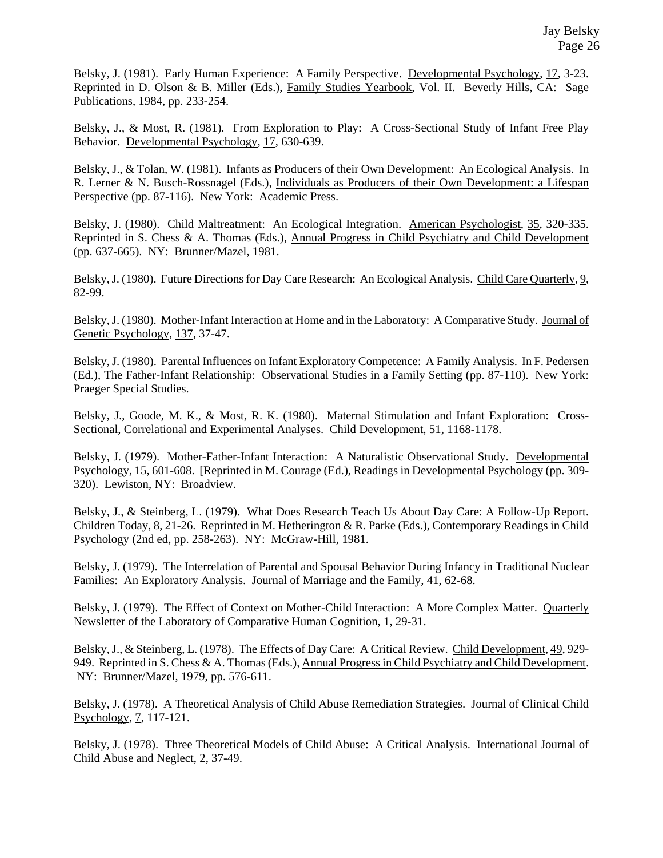Belsky, J. (1981). Early Human Experience: A Family Perspective. Developmental Psychology, 17, 3-23. Reprinted in D. Olson & B. Miller (Eds.), Family Studies Yearbook, Vol. II. Beverly Hills, CA: Sage Publications, 1984, pp. 233-254.

Belsky, J., & Most, R. (1981). From Exploration to Play: A Cross-Sectional Study of Infant Free Play Behavior. Developmental Psychology, 17, 630-639.

Belsky, J., & Tolan, W. (1981). Infants as Producers of their Own Development: An Ecological Analysis. In R. Lerner & N. Busch-Rossnagel (Eds.), Individuals as Producers of their Own Development: a Lifespan Perspective (pp. 87-116). New York: Academic Press.

Belsky, J. (1980). Child Maltreatment: An Ecological Integration. American Psychologist, 35, 320-335. Reprinted in S. Chess & A. Thomas (Eds.), Annual Progress in Child Psychiatry and Child Development (pp. 637-665). NY: Brunner/Mazel, 1981.

Belsky, J. (1980). Future Directions for Day Care Research: An Ecological Analysis. Child Care Quarterly, 9, 82-99.

Belsky, J. (1980). Mother-Infant Interaction at Home and in the Laboratory: A Comparative Study. Journal of Genetic Psychology, 137, 37-47.

Belsky, J. (1980). Parental Influences on Infant Exploratory Competence: A Family Analysis. In F. Pedersen (Ed.), The Father-Infant Relationship: Observational Studies in a Family Setting (pp. 87-110). New York: Praeger Special Studies.

Belsky, J., Goode, M. K., & Most, R. K. (1980). Maternal Stimulation and Infant Exploration: Cross-Sectional, Correlational and Experimental Analyses. Child Development, 51, 1168-1178.

Belsky, J. (1979). Mother-Father-Infant Interaction: A Naturalistic Observational Study. Developmental Psychology, 15, 601-608. [Reprinted in M. Courage (Ed.), Readings in Developmental Psychology (pp. 309- 320). Lewiston, NY: Broadview.

Belsky, J., & Steinberg, L. (1979). What Does Research Teach Us About Day Care: A Follow-Up Report. Children Today, 8, 21-26. Reprinted in M. Hetherington & R. Parke (Eds.), Contemporary Readings in Child Psychology (2nd ed, pp. 258-263). NY: McGraw-Hill, 1981.

Belsky, J. (1979). The Interrelation of Parental and Spousal Behavior During Infancy in Traditional Nuclear Families: An Exploratory Analysis. Journal of Marriage and the Family, 41, 62-68.

Belsky, J. (1979). The Effect of Context on Mother-Child Interaction: A More Complex Matter. Quarterly Newsletter of the Laboratory of Comparative Human Cognition, 1, 29-31.

Belsky, J., & Steinberg, L. (1978). The Effects of Day Care: A Critical Review. Child Development, 49, 929- 949. Reprinted in S. Chess & A. Thomas (Eds.), Annual Progress in Child Psychiatry and Child Development. NY: Brunner/Mazel, 1979, pp. 576-611.

Belsky, J. (1978). A Theoretical Analysis of Child Abuse Remediation Strategies. Journal of Clinical Child Psychology, 7, 117-121.

Belsky, J. (1978). Three Theoretical Models of Child Abuse: A Critical Analysis. International Journal of Child Abuse and Neglect, 2, 37-49.